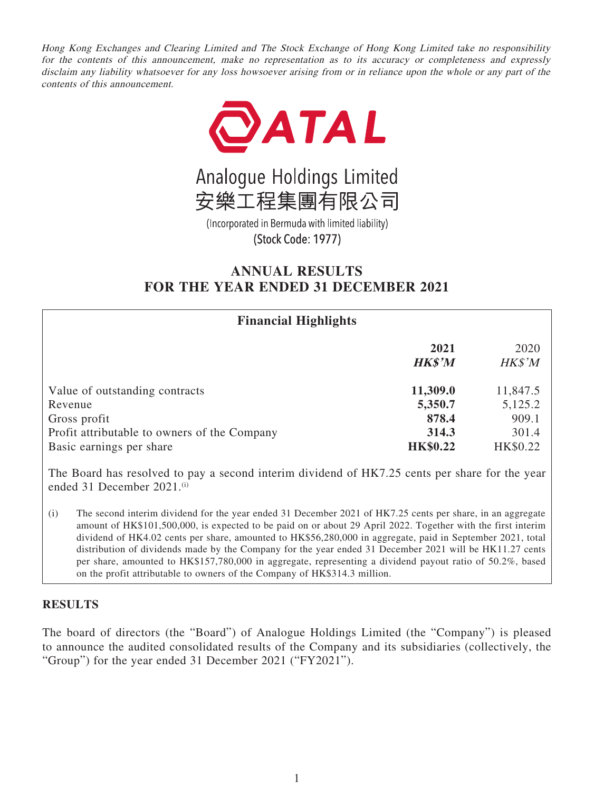Hong Kong Exchanges and Clearing Limited and The Stock Exchange of Hong Kong Limited take no responsibility for the contents of this announcement, make no representation as to its accuracy or completeness and expressly disclaim any liability whatsoever for any loss howsoever arising from or in reliance upon the whole or any part of the contents of this announcement.



(Incorporated in Bermuda with limited liability) (Stock Code: 1977)

# **ANNUAL RESULTS FOR THE YEAR ENDED 31 DECEMBER 2021**

| <b>Financial Highlights</b>                                                                                                           |                                                          |                                                   |
|---------------------------------------------------------------------------------------------------------------------------------------|----------------------------------------------------------|---------------------------------------------------|
|                                                                                                                                       | 2021<br><b>HK\$'M</b>                                    | 2020<br>HK\$'M                                    |
| Value of outstanding contracts<br>Revenue<br>Gross profit<br>Profit attributable to owners of the Company<br>Basic earnings per share | 11,309.0<br>5,350.7<br>878.4<br>314.3<br><b>HK\$0.22</b> | 11,847.5<br>5,125.2<br>909.1<br>301.4<br>HK\$0.22 |

The Board has resolved to pay a second interim dividend of HK7.25 cents per share for the year ended 31 December 2021.<sup>(i)</sup>

(i) The second interim dividend for the year ended 31 December 2021 of HK7.25 cents per share, in an aggregate amount of HK\$101,500,000, is expected to be paid on or about 29 April 2022. Together with the first interim dividend of HK4.02 cents per share, amounted to HK\$56,280,000 in aggregate, paid in September 2021, total distribution of dividends made by the Company for the year ended 31 December 2021 will be HK11.27 cents per share, amounted to HK\$157,780,000 in aggregate, representing a dividend payout ratio of 50.2%, based on the profit attributable to owners of the Company of HK\$314.3 million.

## **RESULTS**

The board of directors (the "Board") of Analogue Holdings Limited (the "Company") is pleased to announce the audited consolidated results of the Company and its subsidiaries (collectively, the "Group") for the year ended 31 December 2021 ("FY2021").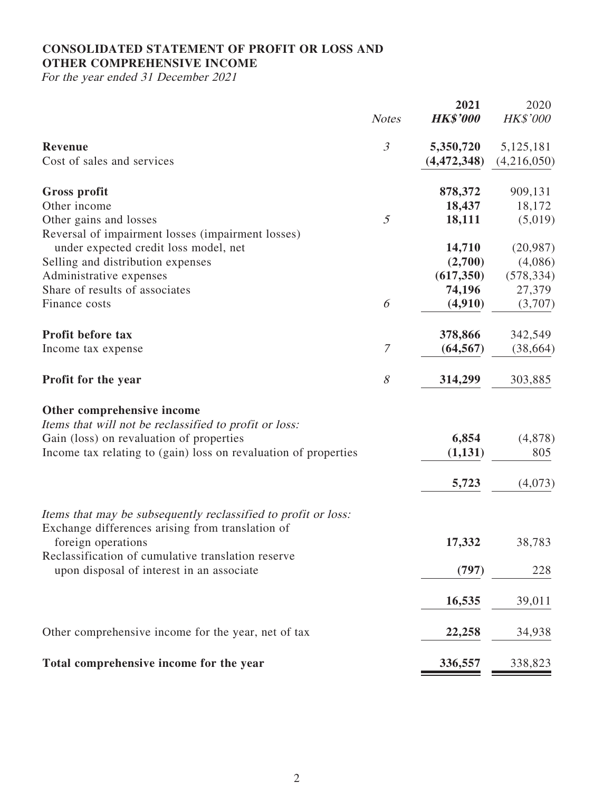## **CONSOLIDATED STATEMENT OF PROFIT OR LOSS AND OTHER COMPREHENSIVE INCOME**

For the year ended 31 December 2021

|                                                                                                                    | <b>Notes</b>   | 2021<br><b>HK\$'000</b> | 2020<br>HK\$'000 |
|--------------------------------------------------------------------------------------------------------------------|----------------|-------------------------|------------------|
| Revenue                                                                                                            | $\mathfrak{Z}$ | 5,350,720               | 5,125,181        |
| Cost of sales and services                                                                                         |                | (4, 472, 348)           | (4,216,050)      |
| Gross profit                                                                                                       |                | 878,372                 | 909,131          |
| Other income                                                                                                       |                | 18,437                  | 18,172           |
| Other gains and losses                                                                                             | $\mathfrak{H}$ | 18,111                  | (5,019)          |
| Reversal of impairment losses (impairment losses)                                                                  |                |                         |                  |
| under expected credit loss model, net                                                                              |                | 14,710                  | (20,987)         |
| Selling and distribution expenses                                                                                  |                | (2,700)                 | (4,086)          |
| Administrative expenses                                                                                            |                | (617, 350)              | (578, 334)       |
| Share of results of associates                                                                                     |                | 74,196                  | 27,379           |
| Finance costs                                                                                                      | 6              | (4,910)                 | (3,707)          |
| Profit before tax                                                                                                  |                | 378,866                 | 342,549          |
| Income tax expense                                                                                                 | 7              | (64, 567)               | (38, 664)        |
| Profit for the year                                                                                                | $\mathcal S$   | 314,299                 | 303,885          |
| Other comprehensive income<br>Items that will not be reclassified to profit or loss:                               |                |                         |                  |
| Gain (loss) on revaluation of properties                                                                           |                | 6,854                   | (4,878)          |
| Income tax relating to (gain) loss on revaluation of properties                                                    |                | (1, 131)                | 805              |
|                                                                                                                    |                | 5,723                   | (4,073)          |
| Items that may be subsequently reclassified to profit or loss:<br>Exchange differences arising from translation of |                |                         |                  |
| foreign operations<br>Reclassification of cumulative translation reserve                                           |                | 17,332                  | 38,783           |
| upon disposal of interest in an associate                                                                          |                | (797)                   | 228              |
|                                                                                                                    |                | 16,535                  | 39,011           |
| Other comprehensive income for the year, net of tax                                                                |                | 22,258                  | 34,938           |
| Total comprehensive income for the year                                                                            |                | 336,557                 | 338,823          |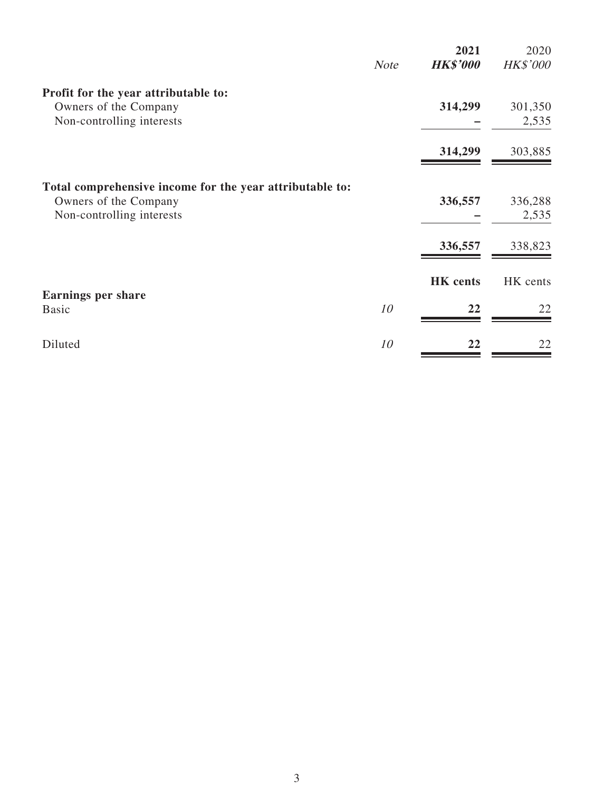|                                                                                                                | <b>Note</b> | 2021<br><b>HK\$'000</b> | 2020<br>HK\$'000 |
|----------------------------------------------------------------------------------------------------------------|-------------|-------------------------|------------------|
| Profit for the year attributable to:<br>Owners of the Company<br>Non-controlling interests                     |             | 314,299                 | 301,350<br>2,535 |
|                                                                                                                |             | 314,299                 | 303,885          |
| Total comprehensive income for the year attributable to:<br>Owners of the Company<br>Non-controlling interests |             | 336,557                 | 336,288<br>2,535 |
|                                                                                                                |             | 336,557                 | 338,823          |
|                                                                                                                |             | <b>HK</b> cents         | HK cents         |
| <b>Earnings per share</b><br><b>Basic</b>                                                                      | 10          | 22                      | 22               |
| Diluted                                                                                                        | 10          | 22                      | 22               |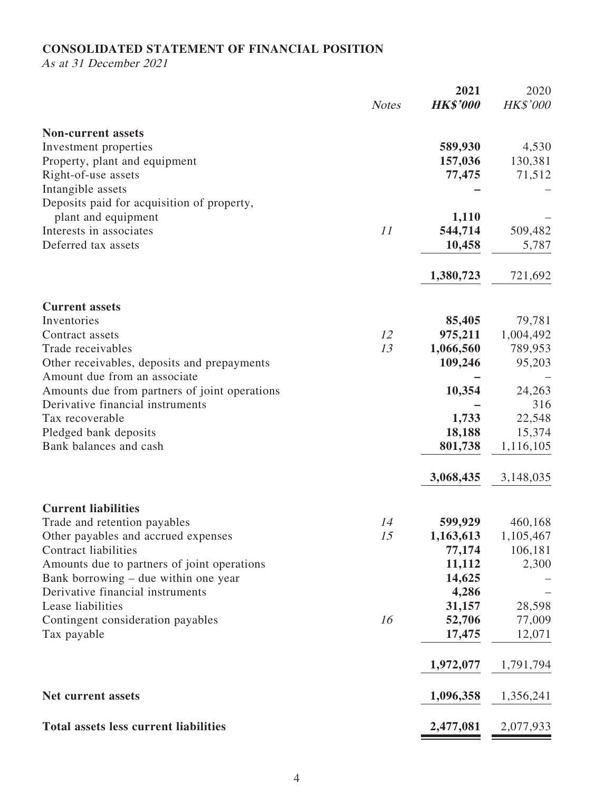# **CONSOLIDATED STATEMENT OF FINANCIAL POSITION**

As at 31 December 2021

|                                               | <b>Notes</b> | 2021<br><b>HK\$'000</b> | 2020<br>HK\$'000 |
|-----------------------------------------------|--------------|-------------------------|------------------|
| <b>Non-current assets</b>                     |              |                         |                  |
| Investment properties                         |              | 589,930                 | 4,530            |
| Property, plant and equipment                 |              | 157,036                 | 130,381          |
| Right-of-use assets                           |              | 77,475                  | 71,512           |
| Intangible assets                             |              |                         |                  |
| Deposits paid for acquisition of property,    |              |                         |                  |
| plant and equipment                           |              | 1,110                   |                  |
| Interests in associates                       | 11           | 544,714                 | 509,482          |
| Deferred tax assets                           |              | 10,458                  | 5,787            |
|                                               |              | 1,380,723               | 721,692          |
| <b>Current assets</b>                         |              |                         |                  |
| Inventories                                   |              | 85,405                  | 79,781           |
| Contract assets                               | 12           | 975,211                 | 1,004,492        |
| Trade receivables                             | 13           | 1,066,560               | 789,953          |
| Other receivables, deposits and prepayments   |              | 109,246                 | 95,203           |
| Amount due from an associate                  |              |                         |                  |
| Amounts due from partners of joint operations |              | 10,354                  | 24,263           |
| Derivative financial instruments              |              |                         | 316              |
| Tax recoverable                               |              | 1,733                   | 22,548           |
| Pledged bank deposits                         |              | 18,188                  | 15,374           |
| Bank balances and cash                        |              | 801,738                 | 1,116,105        |
|                                               |              | 3,068,435               | 3,148,035        |
| <b>Current liabilities</b>                    |              |                         |                  |
| Trade and retention payables                  | 14           | 599,929                 | 460,168          |
| Other payables and accrued expenses           | 15           | 1,163,613               | 1,105,467        |
| <b>Contract liabilities</b>                   |              | 77,174                  | 106,181          |
| Amounts due to partners of joint operations   |              | 11,112                  | 2,300            |
| Bank borrowing – due within one year          |              | 14,625                  |                  |
| Derivative financial instruments              |              | 4,286                   |                  |
| Lease liabilities                             |              | 31,157                  | 28,598           |
| Contingent consideration payables             | 16           | 52,706                  | 77,009           |
| Tax payable                                   |              | 17,475                  | 12,071           |
|                                               |              | 1,972,077               | 1,791,794        |
| Net current assets                            |              | 1,096,358               | 1,356,241        |
| <b>Total assets less current liabilities</b>  |              | 2,477,081               | 2,077,933        |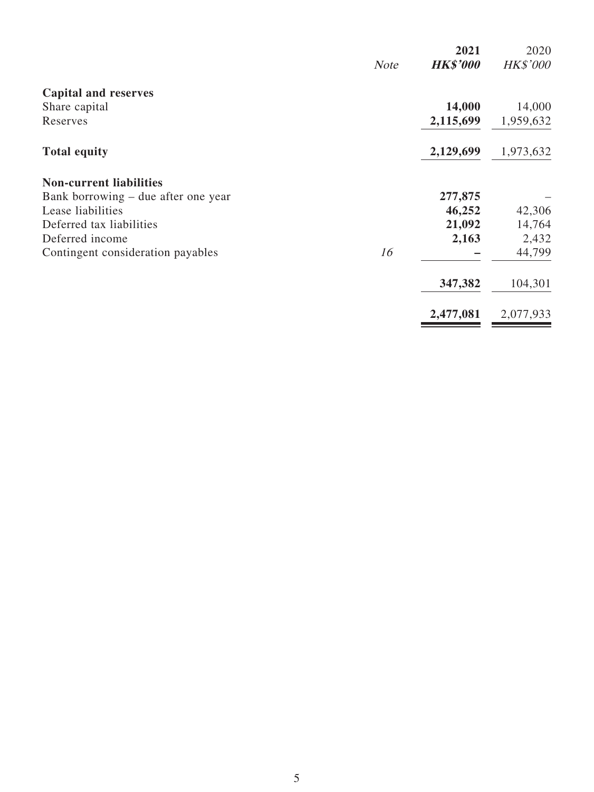|                                     |             | 2021            | 2020            |
|-------------------------------------|-------------|-----------------|-----------------|
|                                     | <b>Note</b> | <b>HK\$'000</b> | <b>HK\$'000</b> |
| <b>Capital and reserves</b>         |             |                 |                 |
| Share capital                       |             | 14,000          | 14,000          |
| Reserves                            |             | 2,115,699       | 1,959,632       |
| <b>Total equity</b>                 |             | 2,129,699       | 1,973,632       |
| <b>Non-current liabilities</b>      |             |                 |                 |
| Bank borrowing – due after one year |             | 277,875         |                 |
| Lease liabilities                   |             | 46,252          | 42,306          |
| Deferred tax liabilities            |             | 21,092          | 14,764          |
| Deferred income                     |             | 2,163           | 2,432           |
| Contingent consideration payables   | 16          |                 | 44,799          |
|                                     |             | 347,382         | 104,301         |
|                                     |             | 2,477,081       | 2,077,933       |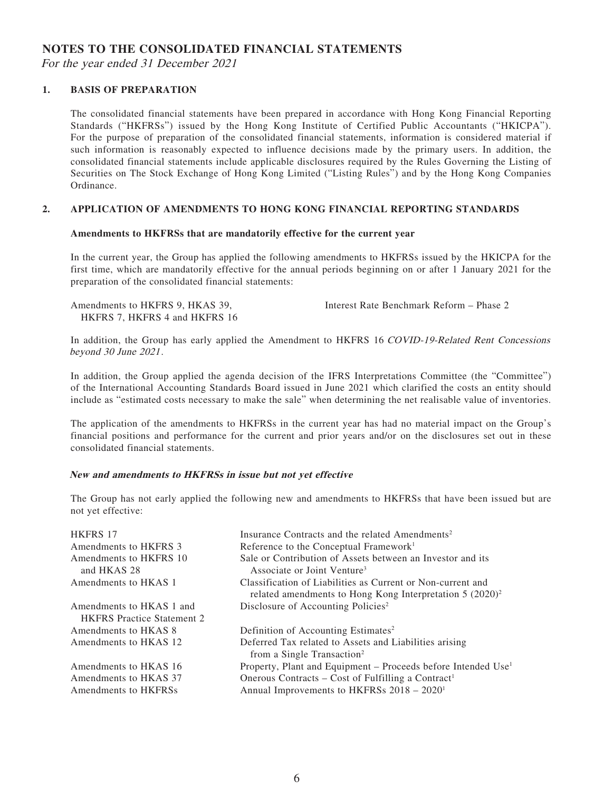### **NOTES TO THE CONSOLIDATED FINANCIAL STATEMENTS**

For the year ended 31 December 2021

#### **1. BASIS OF PREPARATION**

The consolidated financial statements have been prepared in accordance with Hong Kong Financial Reporting Standards ("HKFRSs") issued by the Hong Kong Institute of Certified Public Accountants ("HKICPA"). For the purpose of preparation of the consolidated financial statements, information is considered material if such information is reasonably expected to influence decisions made by the primary users. In addition, the consolidated financial statements include applicable disclosures required by the Rules Governing the Listing of Securities on The Stock Exchange of Hong Kong Limited ("Listing Rules") and by the Hong Kong Companies Ordinance.

#### **2. APPLICATION OF AMENDMENTS TO HONG KONG FINANCIAL REPORTING STANDARDS**

#### **Amendments to HKFRSs that are mandatorily effective for the current year**

In the current year, the Group has applied the following amendments to HKFRSs issued by the HKICPA for the first time, which are mandatorily effective for the annual periods beginning on or after 1 January 2021 for the preparation of the consolidated financial statements:

Amendments to HKFRS 9, HKAS 39, HKFRS 7, HKFRS 4 and HKFRS 16 Interest Rate Benchmark Reform – Phase 2

In addition, the Group has early applied the Amendment to HKFRS 16 COVID-19-Related Rent Concessions beyond 30 June 2021 .

In addition, the Group applied the agenda decision of the IFRS Interpretations Committee (the "Committee") of the International Accounting Standards Board issued in June 2021 which clarified the costs an entity should include as "estimated costs necessary to make the sale" when determining the net realisable value of inventories.

The application of the amendments to HKFRSs in the current year has had no material impact on the Group's financial positions and performance for the current and prior years and/or on the disclosures set out in these consolidated financial statements.

#### **New and amendments to HKFRSs in issue but not yet effective**

The Group has not early applied the following new and amendments to HKFRSs that have been issued but are not yet effective:

| <b>HKFRS 17</b>                                                        | Insurance Contracts and the related Amendments <sup>2</sup>                                                                                                                                           |
|------------------------------------------------------------------------|-------------------------------------------------------------------------------------------------------------------------------------------------------------------------------------------------------|
| Amendments to HKFRS 3                                                  | Reference to the Conceptual Framework <sup>1</sup>                                                                                                                                                    |
| Amendments to HKFRS 10<br>and HKAS 28                                  | Sale or Contribution of Assets between an Investor and its<br>Associate or Joint Venture <sup>3</sup>                                                                                                 |
| Amendments to HKAS 1                                                   | Classification of Liabilities as Current or Non-current and<br>related amendments to Hong Kong Interpretation $5 (2020)^2$                                                                            |
| Amendments to HKAS 1 and<br><b>HKFRS</b> Practice Statement 2          | Disclosure of Accounting Policies <sup>2</sup>                                                                                                                                                        |
| Amendments to HKAS 8                                                   | Definition of Accounting Estimates <sup>2</sup>                                                                                                                                                       |
| Amendments to HKAS 12                                                  | Deferred Tax related to Assets and Liabilities arising<br>from a Single Transaction <sup>2</sup>                                                                                                      |
| Amendments to HKAS 16<br>Amendments to HKAS 37<br>Amendments to HKFRSs | Property, Plant and Equipment – Proceeds before Intended Use <sup>1</sup><br>Onerous Contracts – Cost of Fulfilling a Contract <sup>1</sup><br>Annual Improvements to HKFRSs 2018 - 2020 <sup>1</sup> |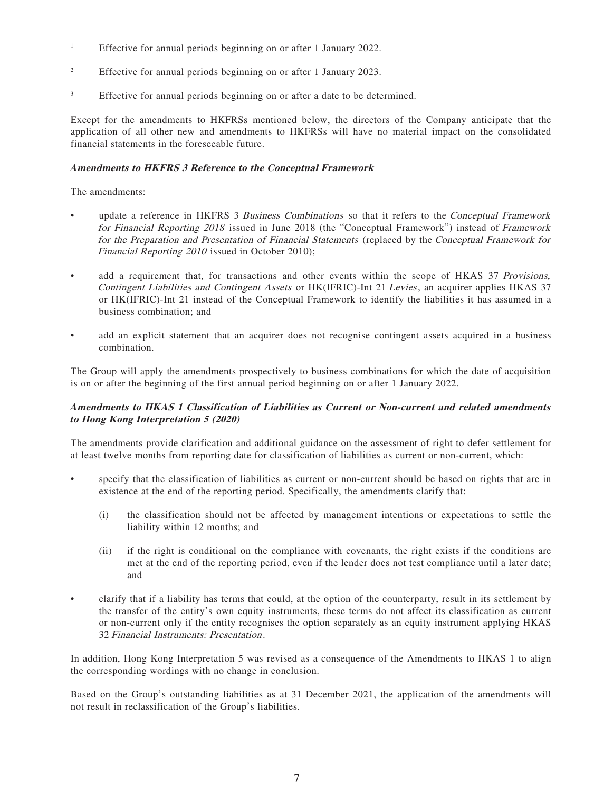- 1 Effective for annual periods beginning on or after 1 January 2022.
- 2 Effective for annual periods beginning on or after 1 January 2023.
- 3 Effective for annual periods beginning on or after a date to be determined.

Except for the amendments to HKFRSs mentioned below, the directors of the Company anticipate that the application of all other new and amendments to HKFRSs will have no material impact on the consolidated financial statements in the foreseeable future.

#### **Amendments to HKFRS 3 Reference to the Conceptual Framework**

The amendments:

- update a reference in HKFRS 3 Business Combinations so that it refers to the Conceptual Framework for Financial Reporting 2018 issued in June 2018 (the "Conceptual Framework") instead of Framework for the Preparation and Presentation of Financial Statements (replaced by the Conceptual Framework for Financial Reporting 2010 issued in October 2010);
- add a requirement that, for transactions and other events within the scope of HKAS 37 Provisions, Contingent Liabilities and Contingent Assets or HK(IFRIC)-Int 21 Levies, an acquirer applies HKAS 37 or HK(IFRIC)-Int 21 instead of the Conceptual Framework to identify the liabilities it has assumed in a business combination; and
- add an explicit statement that an acquirer does not recognise contingent assets acquired in a business combination.

The Group will apply the amendments prospectively to business combinations for which the date of acquisition is on or after the beginning of the first annual period beginning on or after 1 January 2022.

#### **Amendments to HKAS 1 Classification of Liabilities as Current or Non-current and related amendments to Hong Kong Interpretation 5 (2020)**

The amendments provide clarification and additional guidance on the assessment of right to defer settlement for at least twelve months from reporting date for classification of liabilities as current or non-current, which:

- specify that the classification of liabilities as current or non-current should be based on rights that are in existence at the end of the reporting period. Specifically, the amendments clarify that:
	- (i) the classification should not be affected by management intentions or expectations to settle the liability within 12 months; and
	- (ii) if the right is conditional on the compliance with covenants, the right exists if the conditions are met at the end of the reporting period, even if the lender does not test compliance until a later date; and
- clarify that if a liability has terms that could, at the option of the counterparty, result in its settlement by the transfer of the entity's own equity instruments, these terms do not affect its classification as current or non-current only if the entity recognises the option separately as an equity instrument applying HKAS 32 Financial Instruments: Presentation .

In addition, Hong Kong Interpretation 5 was revised as a consequence of the Amendments to HKAS 1 to align the corresponding wordings with no change in conclusion.

Based on the Group's outstanding liabilities as at 31 December 2021, the application of the amendments will not result in reclassification of the Group's liabilities.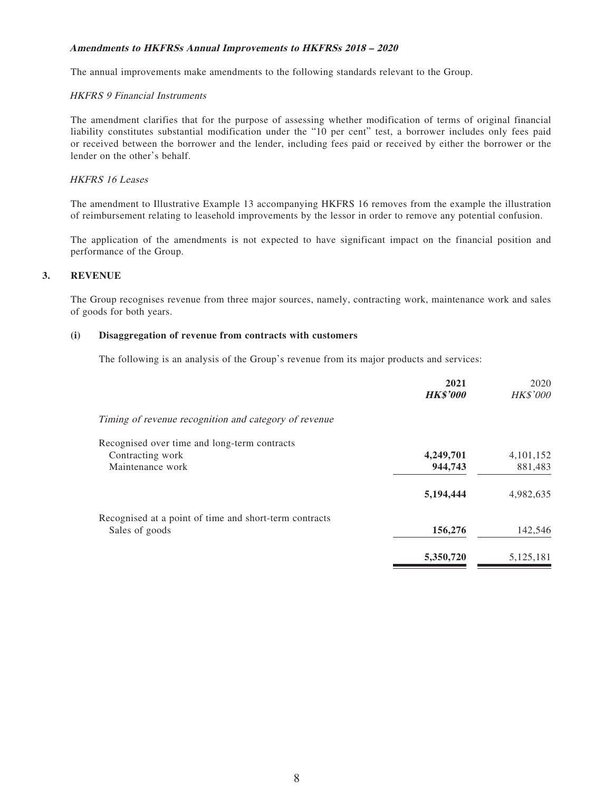#### **Amendments to HKFRSs Annual Improvements to HKFRSs 2018 – 2020**

The annual improvements make amendments to the following standards relevant to the Group.

#### HKFRS 9 Financial Instruments

The amendment clarifies that for the purpose of assessing whether modification of terms of original financial liability constitutes substantial modification under the "10 per cent" test, a borrower includes only fees paid or received between the borrower and the lender, including fees paid or received by either the borrower or the lender on the other's behalf.

#### HKFRS 16 Leases

The amendment to Illustrative Example 13 accompanying HKFRS 16 removes from the example the illustration of reimbursement relating to leasehold improvements by the lessor in order to remove any potential confusion.

The application of the amendments is not expected to have significant impact on the financial position and performance of the Group.

#### **3. REVENUE**

The Group recognises revenue from three major sources, namely, contracting work, maintenance work and sales of goods for both years.

#### **(i) Disaggregation of revenue from contracts with customers**

The following is an analysis of the Group's revenue from its major products and services:

|                                                        | 2021<br><b>HK\$'000</b> | 2020<br>HK\$'000 |
|--------------------------------------------------------|-------------------------|------------------|
| Timing of revenue recognition and category of revenue  |                         |                  |
| Recognised over time and long-term contracts           |                         |                  |
| Contracting work                                       | 4,249,701               | 4,101,152        |
| Maintenance work                                       | 944,743                 | 881,483          |
|                                                        | 5,194,444               | 4,982,635        |
| Recognised at a point of time and short-term contracts |                         |                  |
| Sales of goods                                         | 156,276                 | 142,546          |
|                                                        | 5,350,720               | 5,125,181        |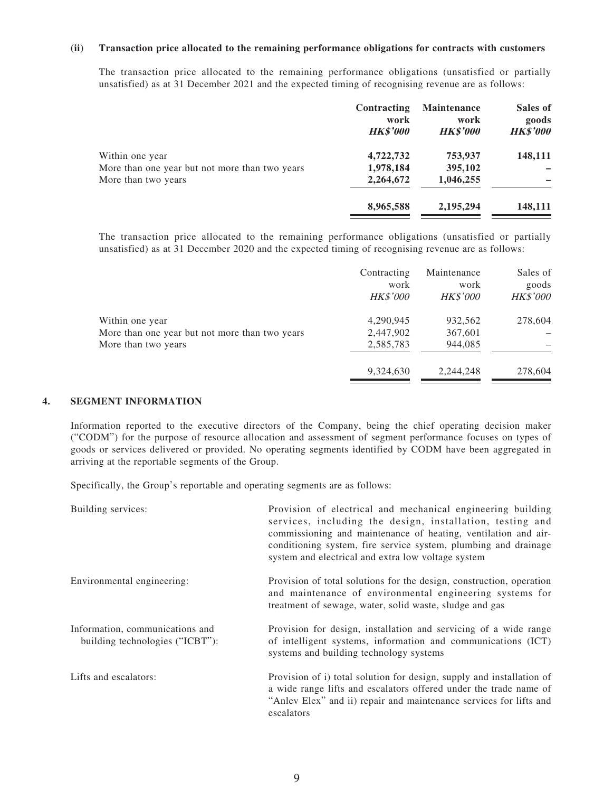#### **(ii) Transaction price allocated to the remaining performance obligations for contracts with customers**

The transaction price allocated to the remaining performance obligations (unsatisfied or partially unsatisfied) as at 31 December 2021 and the expected timing of recognising revenue are as follows:

| Contracting<br>work | <b>Maintenance</b><br>work | Sales of<br>goods |
|---------------------|----------------------------|-------------------|
| <b>HK\$'000</b>     | <b>HK\$'000</b>            | <b>HK\$'000</b>   |
| 4,722,732           | 753,937                    | 148,111           |
| 1,978,184           | 395,102                    |                   |
| 2,264,672           | 1,046,255                  |                   |
| 8,965,588           | 2,195,294                  | 148,111           |
|                     |                            |                   |

The transaction price allocated to the remaining performance obligations (unsatisfied or partially unsatisfied) as at 31 December 2020 and the expected timing of recognising revenue are as follows:

|                                                | Contracting<br>work<br><b>HK\$'000</b> | Maintenance<br>work<br><b>HK\$'000</b> | Sales of<br>goods<br><b>HK\$'000</b> |
|------------------------------------------------|----------------------------------------|----------------------------------------|--------------------------------------|
| Within one year                                | 4,290,945                              | 932,562                                | 278,604                              |
| More than one year but not more than two years | 2,447,902                              | 367,601                                |                                      |
| More than two years                            | 2,585,783                              | 944,085                                |                                      |
|                                                | 9,324,630                              | 2.244.248                              | 278,604                              |

#### **4. SEGMENT INFORMATION**

Information reported to the executive directors of the Company, being the chief operating decision maker ("CODM") for the purpose of resource allocation and assessment of segment performance focuses on types of goods or services delivered or provided. No operating segments identified by CODM have been aggregated in arriving at the reportable segments of the Group.

Specifically, the Group's reportable and operating segments are as follows:

| Building services:                                                 | Provision of electrical and mechanical engineering building<br>services, including the design, installation, testing and<br>commissioning and maintenance of heating, ventilation and air-<br>conditioning system, fire service system, plumbing and drainage<br>system and electrical and extra low voltage system |
|--------------------------------------------------------------------|---------------------------------------------------------------------------------------------------------------------------------------------------------------------------------------------------------------------------------------------------------------------------------------------------------------------|
| Environmental engineering:                                         | Provision of total solutions for the design, construction, operation<br>and maintenance of environmental engineering systems for<br>treatment of sewage, water, solid waste, sludge and gas                                                                                                                         |
| Information, communications and<br>building technologies ("ICBT"): | Provision for design, installation and servicing of a wide range<br>of intelligent systems, information and communications (ICT)<br>systems and building technology systems                                                                                                                                         |
| Lifts and escalators:                                              | Provision of i) total solution for design, supply and installation of<br>a wide range lifts and escalators offered under the trade name of<br>"Anlev Elex" and ii) repair and maintenance services for lifts and<br>escalators                                                                                      |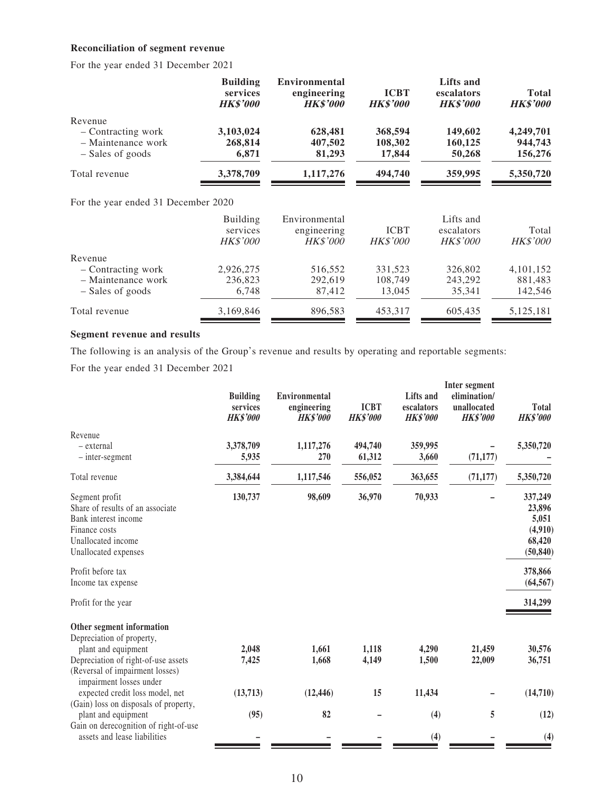#### **Reconciliation of segment revenue**

For the year ended 31 December 2021

|                                                                         | <b>Building</b><br>services<br><b>HK\$'000</b> | <b>Environmental</b><br>engineering<br><b>HK\$'000</b> | <b>ICBT</b><br><b>HK\$'000</b> | Lifts and<br>escalators<br><b>HK\$'000</b> | <b>Total</b><br><b>HK\$'000</b> |
|-------------------------------------------------------------------------|------------------------------------------------|--------------------------------------------------------|--------------------------------|--------------------------------------------|---------------------------------|
| Revenue<br>- Contracting work<br>- Maintenance work<br>- Sales of goods | 3,103,024<br>268,814<br>6,871                  | 628,481<br>407,502<br>81,293                           | 368,594<br>108,302<br>17,844   | 149,602<br>160,125<br>50,268               | 4,249,701<br>944,743<br>156,276 |
| Total revenue                                                           | 3,378,709                                      | 1,117,276                                              | 494,740                        | 359,995                                    | 5,350,720                       |
| For the year ended 31 December 2020                                     |                                                |                                                        |                                |                                            |                                 |
|                                                                         | <b>Building</b><br>services<br><b>HK\$'000</b> | Environmental<br>engineering<br><b>HK\$'000</b>        | <b>ICBT</b><br><b>HK\$'000</b> | Lifts and<br>escalators<br><i>HK\$'000</i> | Total<br><b>HK\$'000</b>        |
| Revenue                                                                 |                                                |                                                        |                                |                                            |                                 |
| - Contracting work                                                      | 2,926,275                                      | 516,552                                                | 331,523                        | 326,802                                    | 4,101,152                       |
| - Maintenance work                                                      | 236,823                                        | 292,619                                                | 108,749                        | 243,292                                    | 881,483                         |
| - Sales of goods                                                        | 6,748                                          | 87,412                                                 | 13,045                         | 35,341                                     | 142,546                         |
| Total revenue                                                           | 3,169,846                                      | 896,583                                                | 453,317                        | 605,435                                    | 5,125,181                       |

#### **Segment revenue and results**

The following is an analysis of the Group's revenue and results by operating and reportable segments:

For the year ended 31 December 2021

|                                                                                                                                           | <b>Building</b><br>services<br><b>HK\$'000</b> | Environmental<br>engineering<br><b>HK\$'000</b> | <b>ICBT</b><br><b>HK\$'000</b> | Lifts and<br>escalators<br><b>HK\$'000</b> | Inter segment<br>elimination/<br>unallocated<br><b>HK\$'000</b> | <b>Total</b><br><b>HK\$'000</b>                              |
|-------------------------------------------------------------------------------------------------------------------------------------------|------------------------------------------------|-------------------------------------------------|--------------------------------|--------------------------------------------|-----------------------------------------------------------------|--------------------------------------------------------------|
| Revenue<br>- external<br>$-$ inter-segment                                                                                                | 3,378,709<br>5,935                             | 1,117,276<br>270                                | 494,740<br>61,312              | 359,995<br>3,660                           | (71, 177)                                                       | 5,350,720                                                    |
| Total revenue                                                                                                                             | 3,384,644                                      | 1,117,546                                       | 556,052                        | 363,655                                    | (71, 177)                                                       | 5,350,720                                                    |
| Segment profit<br>Share of results of an associate<br>Bank interest income<br>Finance costs<br>Unallocated income<br>Unallocated expenses | 130,737                                        | 98,609                                          | 36,970                         | 70,933                                     |                                                                 | 337,249<br>23,896<br>5,051<br>(4,910)<br>68,420<br>(50, 840) |
| Profit before tax<br>Income tax expense                                                                                                   |                                                |                                                 |                                |                                            |                                                                 | 378,866<br>(64, 567)                                         |
| Profit for the year                                                                                                                       |                                                |                                                 |                                |                                            |                                                                 | 314,299                                                      |
| Other segment information<br>Depreciation of property,<br>plant and equipment                                                             | 2,048                                          | 1,661                                           | 1,118                          | 4,290                                      | 21,459                                                          | 30,576                                                       |
| Depreciation of right-of-use assets<br>(Reversal of impairment losses)<br>impairment losses under                                         | 7,425                                          | 1,668                                           | 4,149                          | 1,500                                      | 22,009                                                          | 36,751                                                       |
| expected credit loss model, net                                                                                                           | (13,713)                                       | (12, 446)                                       | 15                             | 11,434                                     |                                                                 | (14, 710)                                                    |
| (Gain) loss on disposals of property,<br>plant and equipment                                                                              | (95)                                           | 82                                              |                                | (4)                                        | 5                                                               | (12)                                                         |
| Gain on derecognition of right-of-use<br>assets and lease liabilities                                                                     |                                                |                                                 |                                | (4)                                        |                                                                 | (4)                                                          |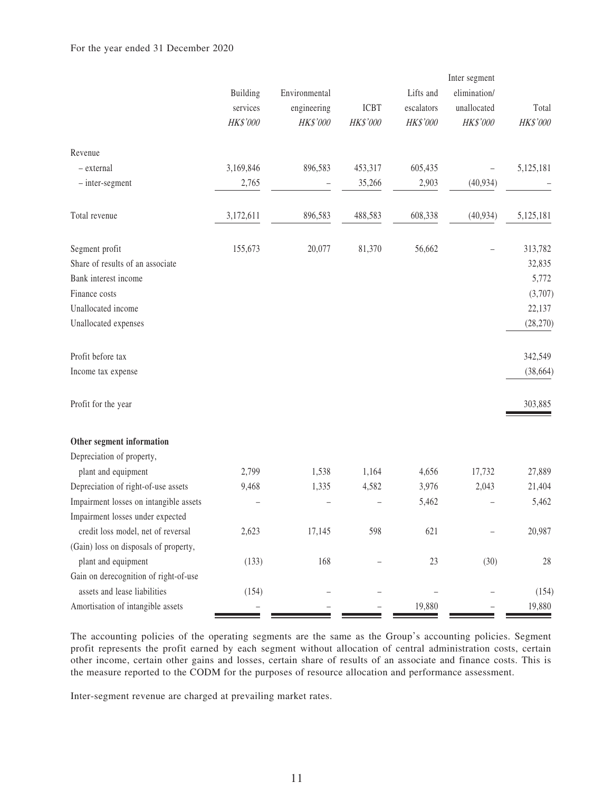| Lifts and<br>elimination/<br>Building<br>Environmental<br>services<br>engineering<br><b>ICBT</b><br>escalators<br>unallocated<br>Total<br>HK\$'000<br>HK\$'000<br>HK\$'000<br>HK\$'000<br>HK\$'000<br>HK\$'000<br>Revenue<br>896,583<br>5,125,181<br>3,169,846<br>453,317<br>605,435<br>- external<br>35,266<br>(40, 934)<br>2,765<br>2,903<br>$-$ inter-segment<br>3,172,611<br>896,583<br>488,583<br>608,338<br>(40, 934)<br>5,125,181<br>Total revenue<br>Segment profit<br>155,673<br>20,077<br>81,370<br>56,662<br>313,782<br>Share of results of an associate<br>32,835<br>Bank interest income<br>5,772<br>Finance costs<br>(3,707)<br>Unallocated income<br>22,137<br>Unallocated expenses<br>(28, 270)<br>Profit before tax<br>342,549<br>(38, 664)<br>Income tax expense<br>Profit for the year<br>303,885<br>Other segment information<br>Depreciation of property,<br>plant and equipment<br>2,799<br>1,538<br>1,164<br>4,656<br>17,732<br>27,889<br>Depreciation of right-of-use assets<br>9,468<br>1,335<br>4,582<br>3,976<br>2,043<br>21,404<br>Impairment losses on intangible assets<br>5,462<br>5,462<br>Impairment losses under expected<br>598<br>credit loss model, net of reversal<br>2,623<br>17,145<br>621<br>20,987<br>(Gain) loss on disposals of property,<br>plant and equipment<br>168<br>28<br>(133)<br>23<br>(30)<br>Gain on derecognition of right-of-use<br>assets and lease liabilities<br>(154)<br>(154)<br>Amortisation of intangible assets<br>19,880<br>19,880 |  |  | Inter segment |  |
|------------------------------------------------------------------------------------------------------------------------------------------------------------------------------------------------------------------------------------------------------------------------------------------------------------------------------------------------------------------------------------------------------------------------------------------------------------------------------------------------------------------------------------------------------------------------------------------------------------------------------------------------------------------------------------------------------------------------------------------------------------------------------------------------------------------------------------------------------------------------------------------------------------------------------------------------------------------------------------------------------------------------------------------------------------------------------------------------------------------------------------------------------------------------------------------------------------------------------------------------------------------------------------------------------------------------------------------------------------------------------------------------------------------------------------------------------------------------------------------------------|--|--|---------------|--|
|                                                                                                                                                                                                                                                                                                                                                                                                                                                                                                                                                                                                                                                                                                                                                                                                                                                                                                                                                                                                                                                                                                                                                                                                                                                                                                                                                                                                                                                                                                      |  |  |               |  |
|                                                                                                                                                                                                                                                                                                                                                                                                                                                                                                                                                                                                                                                                                                                                                                                                                                                                                                                                                                                                                                                                                                                                                                                                                                                                                                                                                                                                                                                                                                      |  |  |               |  |
|                                                                                                                                                                                                                                                                                                                                                                                                                                                                                                                                                                                                                                                                                                                                                                                                                                                                                                                                                                                                                                                                                                                                                                                                                                                                                                                                                                                                                                                                                                      |  |  |               |  |
|                                                                                                                                                                                                                                                                                                                                                                                                                                                                                                                                                                                                                                                                                                                                                                                                                                                                                                                                                                                                                                                                                                                                                                                                                                                                                                                                                                                                                                                                                                      |  |  |               |  |
|                                                                                                                                                                                                                                                                                                                                                                                                                                                                                                                                                                                                                                                                                                                                                                                                                                                                                                                                                                                                                                                                                                                                                                                                                                                                                                                                                                                                                                                                                                      |  |  |               |  |
|                                                                                                                                                                                                                                                                                                                                                                                                                                                                                                                                                                                                                                                                                                                                                                                                                                                                                                                                                                                                                                                                                                                                                                                                                                                                                                                                                                                                                                                                                                      |  |  |               |  |
|                                                                                                                                                                                                                                                                                                                                                                                                                                                                                                                                                                                                                                                                                                                                                                                                                                                                                                                                                                                                                                                                                                                                                                                                                                                                                                                                                                                                                                                                                                      |  |  |               |  |
|                                                                                                                                                                                                                                                                                                                                                                                                                                                                                                                                                                                                                                                                                                                                                                                                                                                                                                                                                                                                                                                                                                                                                                                                                                                                                                                                                                                                                                                                                                      |  |  |               |  |
|                                                                                                                                                                                                                                                                                                                                                                                                                                                                                                                                                                                                                                                                                                                                                                                                                                                                                                                                                                                                                                                                                                                                                                                                                                                                                                                                                                                                                                                                                                      |  |  |               |  |
|                                                                                                                                                                                                                                                                                                                                                                                                                                                                                                                                                                                                                                                                                                                                                                                                                                                                                                                                                                                                                                                                                                                                                                                                                                                                                                                                                                                                                                                                                                      |  |  |               |  |
|                                                                                                                                                                                                                                                                                                                                                                                                                                                                                                                                                                                                                                                                                                                                                                                                                                                                                                                                                                                                                                                                                                                                                                                                                                                                                                                                                                                                                                                                                                      |  |  |               |  |
|                                                                                                                                                                                                                                                                                                                                                                                                                                                                                                                                                                                                                                                                                                                                                                                                                                                                                                                                                                                                                                                                                                                                                                                                                                                                                                                                                                                                                                                                                                      |  |  |               |  |
|                                                                                                                                                                                                                                                                                                                                                                                                                                                                                                                                                                                                                                                                                                                                                                                                                                                                                                                                                                                                                                                                                                                                                                                                                                                                                                                                                                                                                                                                                                      |  |  |               |  |
|                                                                                                                                                                                                                                                                                                                                                                                                                                                                                                                                                                                                                                                                                                                                                                                                                                                                                                                                                                                                                                                                                                                                                                                                                                                                                                                                                                                                                                                                                                      |  |  |               |  |
|                                                                                                                                                                                                                                                                                                                                                                                                                                                                                                                                                                                                                                                                                                                                                                                                                                                                                                                                                                                                                                                                                                                                                                                                                                                                                                                                                                                                                                                                                                      |  |  |               |  |
|                                                                                                                                                                                                                                                                                                                                                                                                                                                                                                                                                                                                                                                                                                                                                                                                                                                                                                                                                                                                                                                                                                                                                                                                                                                                                                                                                                                                                                                                                                      |  |  |               |  |
|                                                                                                                                                                                                                                                                                                                                                                                                                                                                                                                                                                                                                                                                                                                                                                                                                                                                                                                                                                                                                                                                                                                                                                                                                                                                                                                                                                                                                                                                                                      |  |  |               |  |
|                                                                                                                                                                                                                                                                                                                                                                                                                                                                                                                                                                                                                                                                                                                                                                                                                                                                                                                                                                                                                                                                                                                                                                                                                                                                                                                                                                                                                                                                                                      |  |  |               |  |
|                                                                                                                                                                                                                                                                                                                                                                                                                                                                                                                                                                                                                                                                                                                                                                                                                                                                                                                                                                                                                                                                                                                                                                                                                                                                                                                                                                                                                                                                                                      |  |  |               |  |
|                                                                                                                                                                                                                                                                                                                                                                                                                                                                                                                                                                                                                                                                                                                                                                                                                                                                                                                                                                                                                                                                                                                                                                                                                                                                                                                                                                                                                                                                                                      |  |  |               |  |
|                                                                                                                                                                                                                                                                                                                                                                                                                                                                                                                                                                                                                                                                                                                                                                                                                                                                                                                                                                                                                                                                                                                                                                                                                                                                                                                                                                                                                                                                                                      |  |  |               |  |
|                                                                                                                                                                                                                                                                                                                                                                                                                                                                                                                                                                                                                                                                                                                                                                                                                                                                                                                                                                                                                                                                                                                                                                                                                                                                                                                                                                                                                                                                                                      |  |  |               |  |
|                                                                                                                                                                                                                                                                                                                                                                                                                                                                                                                                                                                                                                                                                                                                                                                                                                                                                                                                                                                                                                                                                                                                                                                                                                                                                                                                                                                                                                                                                                      |  |  |               |  |
|                                                                                                                                                                                                                                                                                                                                                                                                                                                                                                                                                                                                                                                                                                                                                                                                                                                                                                                                                                                                                                                                                                                                                                                                                                                                                                                                                                                                                                                                                                      |  |  |               |  |
|                                                                                                                                                                                                                                                                                                                                                                                                                                                                                                                                                                                                                                                                                                                                                                                                                                                                                                                                                                                                                                                                                                                                                                                                                                                                                                                                                                                                                                                                                                      |  |  |               |  |
|                                                                                                                                                                                                                                                                                                                                                                                                                                                                                                                                                                                                                                                                                                                                                                                                                                                                                                                                                                                                                                                                                                                                                                                                                                                                                                                                                                                                                                                                                                      |  |  |               |  |
|                                                                                                                                                                                                                                                                                                                                                                                                                                                                                                                                                                                                                                                                                                                                                                                                                                                                                                                                                                                                                                                                                                                                                                                                                                                                                                                                                                                                                                                                                                      |  |  |               |  |
|                                                                                                                                                                                                                                                                                                                                                                                                                                                                                                                                                                                                                                                                                                                                                                                                                                                                                                                                                                                                                                                                                                                                                                                                                                                                                                                                                                                                                                                                                                      |  |  |               |  |
|                                                                                                                                                                                                                                                                                                                                                                                                                                                                                                                                                                                                                                                                                                                                                                                                                                                                                                                                                                                                                                                                                                                                                                                                                                                                                                                                                                                                                                                                                                      |  |  |               |  |

The accounting policies of the operating segments are the same as the Group's accounting policies. Segment profit represents the profit earned by each segment without allocation of central administration costs, certain other income, certain other gains and losses, certain share of results of an associate and finance costs. This is the measure reported to the CODM for the purposes of resource allocation and performance assessment.

Inter-segment revenue are charged at prevailing market rates.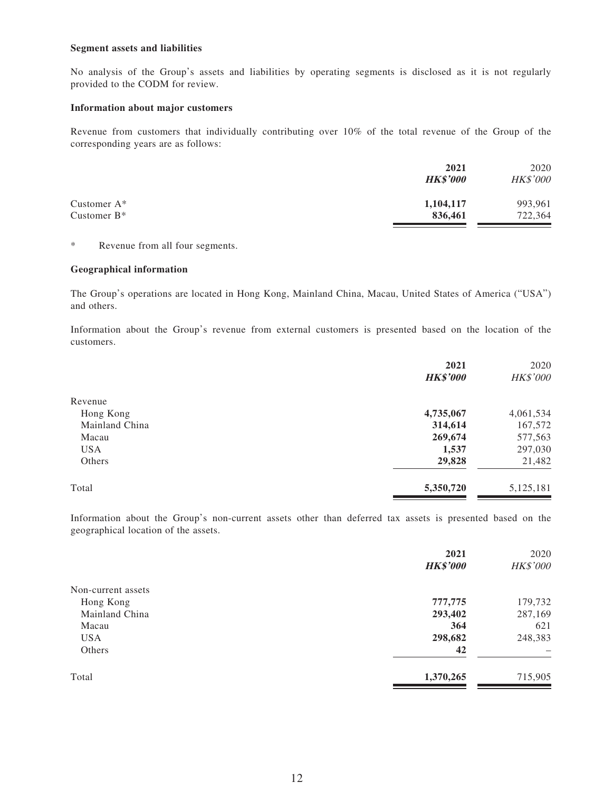#### **Segment assets and liabilities**

No analysis of the Group's assets and liabilities by operating segments is disclosed as it is not regularly provided to the CODM for review.

#### **Information about major customers**

Revenue from customers that individually contributing over 10% of the total revenue of the Group of the corresponding years are as follows:

|                | 2021            | 2020            |
|----------------|-----------------|-----------------|
|                | <b>HK\$'000</b> | <b>HK\$'000</b> |
| Customer $A^*$ | 1,104,117       | 993,961         |
| Customer $B^*$ | 836,461         | 722,364         |

\* Revenue from all four segments.

#### **Geographical information**

The Group's operations are located in Hong Kong, Mainland China, Macau, United States of America ("USA") and others.

Information about the Group's revenue from external customers is presented based on the location of the customers.

|                | 2021            | 2020      |
|----------------|-----------------|-----------|
|                | <b>HK\$'000</b> | HK\$'000  |
| Revenue        |                 |           |
| Hong Kong      | 4,735,067       | 4,061,534 |
| Mainland China | 314,614         | 167,572   |
| Macau          | 269,674         | 577,563   |
| <b>USA</b>     | 1,537           | 297,030   |
| Others         | 29,828          | 21,482    |
| Total          | 5,350,720       | 5,125,181 |

Information about the Group's non-current assets other than deferred tax assets is presented based on the geographical location of the assets.

| 2021<br><b>HK\$'000</b> | 2020<br>HK\$'000 |
|-------------------------|------------------|
|                         |                  |
| 777,775                 | 179,732          |
| 293,402                 | 287,169          |
| 364                     | 621              |
| 298,682                 | 248,383          |
| 42                      | -                |
| 1,370,265               | 715,905          |
|                         |                  |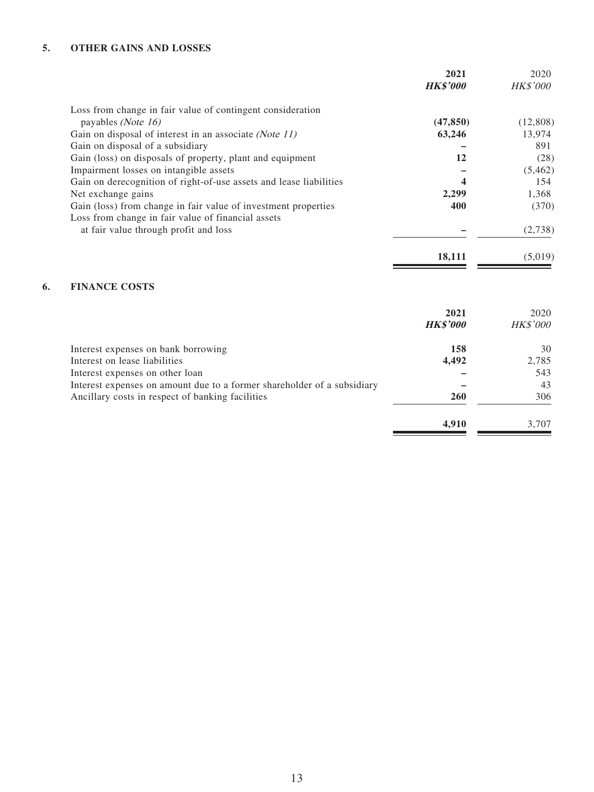#### **5. OTHER GAINS AND LOSSES**

|                                                                    | 2021            | 2020            |
|--------------------------------------------------------------------|-----------------|-----------------|
|                                                                    | <b>HK\$'000</b> | <b>HK\$'000</b> |
| Loss from change in fair value of contingent consideration         |                 |                 |
| payables (Note 16)                                                 | (47, 850)       | (12, 808)       |
| Gain on disposal of interest in an associate ( <i>Note 11</i> )    | 63,246          | 13,974          |
| Gain on disposal of a subsidiary                                   |                 | 891             |
| Gain (loss) on disposals of property, plant and equipment          | 12              | (28)            |
| Impairment losses on intangible assets                             |                 | (5,462)         |
| Gain on derecognition of right-of-use assets and lease liabilities | 4               | 154             |
| Net exchange gains                                                 | 2,299           | 1,368           |
| Gain (loss) from change in fair value of investment properties     | 400             | (370)           |
| Loss from change in fair value of financial assets                 |                 |                 |
| at fair value through profit and loss                              |                 | (2,738)         |
|                                                                    | 18,111          | (5,019)         |

### **6. FINANCE COSTS**

|                                                                         | 2021            | 2020     |
|-------------------------------------------------------------------------|-----------------|----------|
|                                                                         | <b>HK\$'000</b> | HK\$'000 |
| Interest expenses on bank borrowing                                     | 158             | 30       |
| Interest on lease liabilities                                           | 4,492           | 2.785    |
| Interest expenses on other loan                                         |                 | 543      |
| Interest expenses on amount due to a former shareholder of a subsidiary |                 | 43       |
| Ancillary costs in respect of banking facilities                        | <b>260</b>      | 306      |
|                                                                         | 4.910           | 3.707    |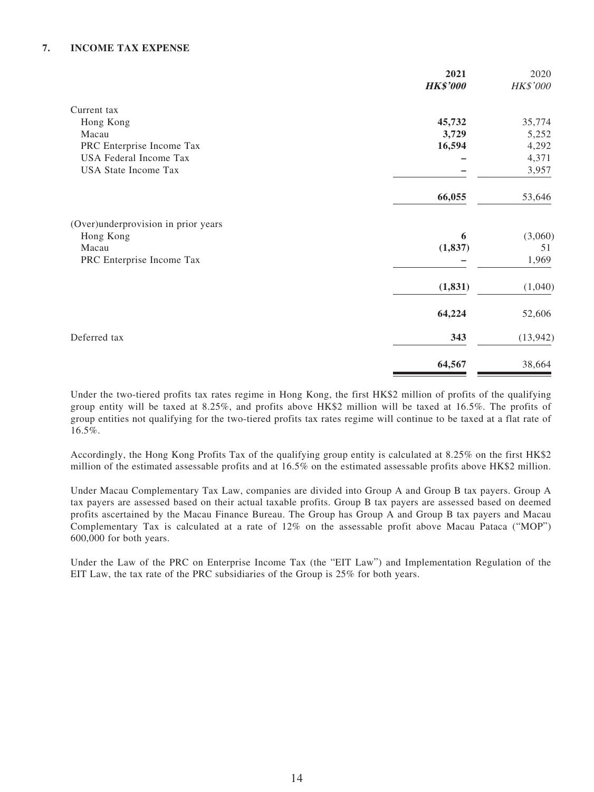#### **7. INCOME TAX EXPENSE**

|                                     | 2021            | 2020      |
|-------------------------------------|-----------------|-----------|
|                                     | <b>HK\$'000</b> | HK\$'000  |
| Current tax                         |                 |           |
| Hong Kong                           | 45,732          | 35,774    |
| Macau                               | 3,729           | 5,252     |
| PRC Enterprise Income Tax           | 16,594          | 4,292     |
| <b>USA Federal Income Tax</b>       |                 | 4,371     |
| <b>USA State Income Tax</b>         |                 | 3,957     |
|                                     | 66,055          | 53,646    |
| (Over)underprovision in prior years |                 |           |
| Hong Kong                           | 6               | (3,060)   |
| Macau                               | (1, 837)        | 51        |
| PRC Enterprise Income Tax           |                 | 1,969     |
|                                     | (1, 831)        | (1,040)   |
|                                     | 64,224          | 52,606    |
| Deferred tax                        | 343             | (13, 942) |
|                                     | 64,567          | 38,664    |

Under the two-tiered profits tax rates regime in Hong Kong, the first HK\$2 million of profits of the qualifying group entity will be taxed at 8.25%, and profits above HK\$2 million will be taxed at 16.5%. The profits of group entities not qualifying for the two-tiered profits tax rates regime will continue to be taxed at a flat rate of 16.5%.

Accordingly, the Hong Kong Profits Tax of the qualifying group entity is calculated at 8.25% on the first HK\$2 million of the estimated assessable profits and at 16.5% on the estimated assessable profits above HK\$2 million.

Under Macau Complementary Tax Law, companies are divided into Group A and Group B tax payers. Group A tax payers are assessed based on their actual taxable profits. Group B tax payers are assessed based on deemed profits ascertained by the Macau Finance Bureau. The Group has Group A and Group B tax payers and Macau Complementary Tax is calculated at a rate of 12% on the assessable profit above Macau Pataca ("MOP") 600,000 for both years.

Under the Law of the PRC on Enterprise Income Tax (the "EIT Law") and Implementation Regulation of the EIT Law, the tax rate of the PRC subsidiaries of the Group is 25% for both years.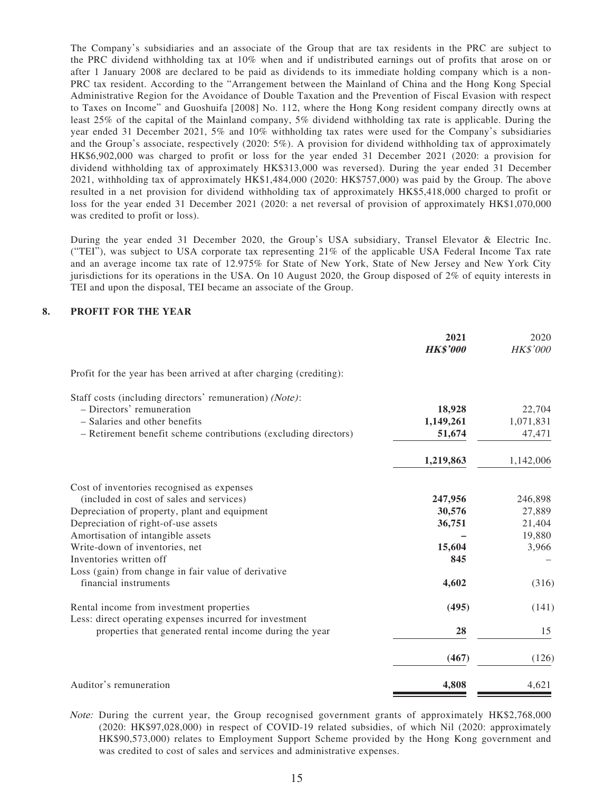The Company's subsidiaries and an associate of the Group that are tax residents in the PRC are subject to the PRC dividend withholding tax at 10% when and if undistributed earnings out of profits that arose on or after 1 January 2008 are declared to be paid as dividends to its immediate holding company which is a non-PRC tax resident. According to the "Arrangement between the Mainland of China and the Hong Kong Special Administrative Region for the Avoidance of Double Taxation and the Prevention of Fiscal Evasion with respect to Taxes on Income" and Guoshuifa [2008] No. 112, where the Hong Kong resident company directly owns at least 25% of the capital of the Mainland company, 5% dividend withholding tax rate is applicable. During the year ended 31 December 2021, 5% and 10% withholding tax rates were used for the Company's subsidiaries and the Group's associate, respectively (2020: 5%). A provision for dividend withholding tax of approximately HK\$6,902,000 was charged to profit or loss for the year ended 31 December 2021 (2020: a provision for dividend withholding tax of approximately HK\$313,000 was reversed). During the year ended 31 December 2021, withholding tax of approximately HK\$1,484,000 (2020: HK\$757,000) was paid by the Group. The above resulted in a net provision for dividend withholding tax of approximately HK\$5,418,000 charged to profit or loss for the year ended 31 December 2021 (2020: a net reversal of provision of approximately HK\$1,070,000 was credited to profit or loss).

During the year ended 31 December 2020, the Group's USA subsidiary, Transel Elevator & Electric Inc. ("TEI"), was subject to USA corporate tax representing 21% of the applicable USA Federal Income Tax rate and an average income tax rate of 12.975% for State of New York, State of New Jersey and New York City jurisdictions for its operations in the USA. On 10 August 2020, the Group disposed of 2% of equity interests in TEI and upon the disposal, TEI became an associate of the Group.

#### **8. PROFIT FOR THE YEAR**

|                                                                     | 2021<br><b>HK\$'000</b> | 2020<br><b>HK\$'000</b> |
|---------------------------------------------------------------------|-------------------------|-------------------------|
| Profit for the year has been arrived at after charging (crediting): |                         |                         |
| Staff costs (including directors' remuneration) (Note):             |                         |                         |
| - Directors' remuneration                                           | 18,928                  | 22,704                  |
| - Salaries and other benefits                                       | 1,149,261               | 1,071,831               |
| - Retirement benefit scheme contributions (excluding directors)     | 51,674                  | 47,471                  |
|                                                                     | 1,219,863               | 1,142,006               |
| Cost of inventories recognised as expenses                          |                         |                         |
| (included in cost of sales and services)                            | 247,956                 | 246,898                 |
| Depreciation of property, plant and equipment                       | 30,576                  | 27,889                  |
| Depreciation of right-of-use assets                                 | 36,751                  | 21,404                  |
| Amortisation of intangible assets                                   |                         | 19,880                  |
| Write-down of inventories, net                                      | 15,604                  | 3,966                   |
| Inventories written off                                             | 845                     |                         |
| Loss (gain) from change in fair value of derivative                 |                         |                         |
| financial instruments                                               | 4,602                   | (316)                   |
| Rental income from investment properties                            | (495)                   | (141)                   |
| Less: direct operating expenses incurred for investment             |                         |                         |
| properties that generated rental income during the year             | 28                      | 15                      |
|                                                                     | (467)                   | (126)                   |
| Auditor's remuneration                                              | 4,808                   | 4,621                   |

Note: During the current year, the Group recognised government grants of approximately HK\$2,768,000 (2020: HK\$97,028,000) in respect of COVID-19 related subsidies, of which Nil (2020: approximately HK\$90,573,000) relates to Employment Support Scheme provided by the Hong Kong government and was credited to cost of sales and services and administrative expenses.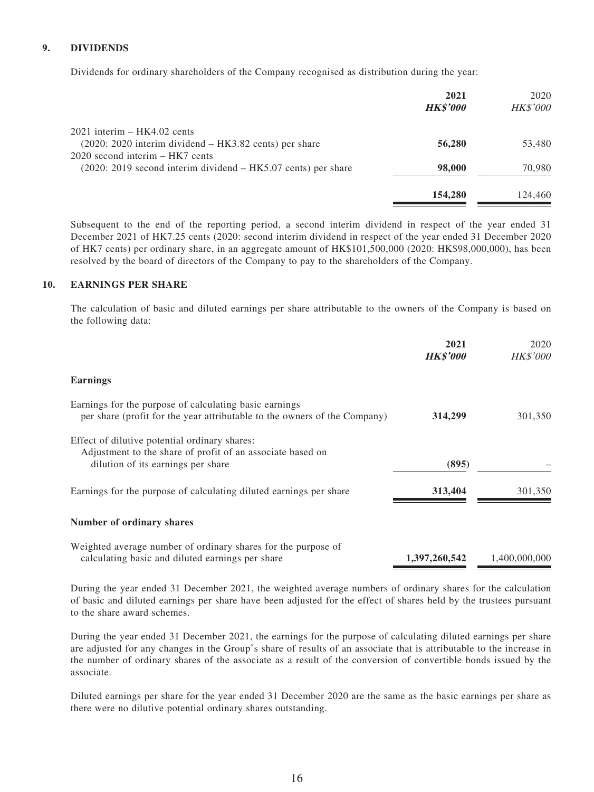#### **9. DIVIDENDS**

Dividends for ordinary shareholders of the Company recognised as distribution during the year:

|                                                                  | 2021<br><b>HK\$'000</b> | 2020<br><b>HK\$'000</b> |
|------------------------------------------------------------------|-------------------------|-------------------------|
| $2021$ interim $-$ HK4.02 cents                                  |                         |                         |
| $(2020: 2020$ interim dividend $-HK3.82$ cents) per share        | 56,280                  | 53,480                  |
| $2020$ second interim $-$ HK7 cents                              |                         |                         |
| $(2020: 2019$ second interim dividend $-HK5.07$ cents) per share | 98,000                  | 70,980                  |
|                                                                  | 154,280                 | 124,460                 |

Subsequent to the end of the reporting period, a second interim dividend in respect of the year ended 31 December 2021 of HK7.25 cents (2020: second interim dividend in respect of the year ended 31 December 2020 of HK7 cents) per ordinary share, in an aggregate amount of HK\$101,500,000 (2020: HK\$98,000,000), has been resolved by the board of directors of the Company to pay to the shareholders of the Company.

#### **10. EARNINGS PER SHARE**

The calculation of basic and diluted earnings per share attributable to the owners of the Company is based on the following data:

|                                                                                                                                                   | 2021<br><b>HK\$'000</b> | 2020<br><b>HK\$'000</b> |
|---------------------------------------------------------------------------------------------------------------------------------------------------|-------------------------|-------------------------|
| <b>Earnings</b>                                                                                                                                   |                         |                         |
| Earnings for the purpose of calculating basic earnings<br>per share (profit for the year attributable to the owners of the Company)               | 314,299                 | 301,350                 |
| Effect of dilutive potential ordinary shares:<br>Adjustment to the share of profit of an associate based on<br>dilution of its earnings per share | (895)                   |                         |
| Earnings for the purpose of calculating diluted earnings per share                                                                                | 313,404                 | 301,350                 |
| Number of ordinary shares                                                                                                                         |                         |                         |
| Weighted average number of ordinary shares for the purpose of<br>calculating basic and diluted earnings per share                                 | 1,397,260,542           | 1.400.000.000           |

During the year ended 31 December 2021, the weighted average numbers of ordinary shares for the calculation of basic and diluted earnings per share have been adjusted for the effect of shares held by the trustees pursuant to the share award schemes.

During the year ended 31 December 2021, the earnings for the purpose of calculating diluted earnings per share are adjusted for any changes in the Group's share of results of an associate that is attributable to the increase in the number of ordinary shares of the associate as a result of the conversion of convertible bonds issued by the associate.

Diluted earnings per share for the year ended 31 December 2020 are the same as the basic earnings per share as there were no dilutive potential ordinary shares outstanding.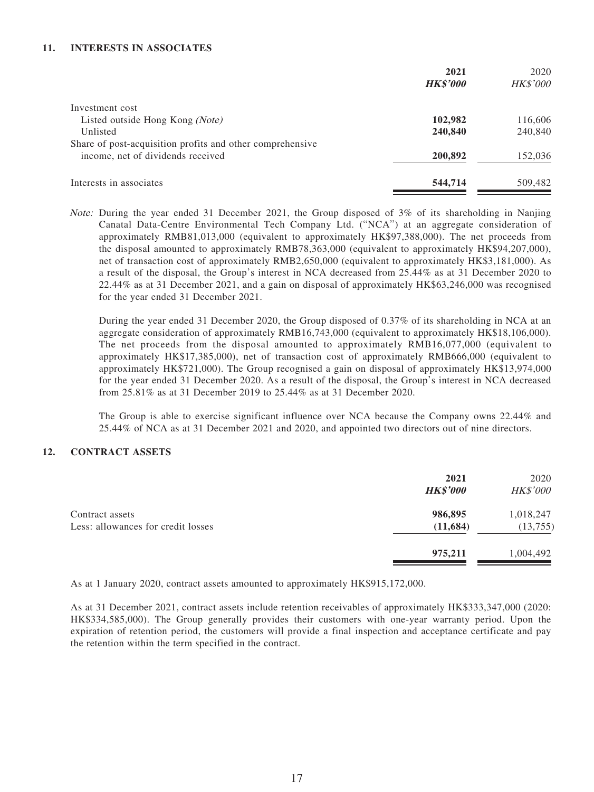#### **11. INTERESTS IN ASSOCIATES**

|                                                           | 2021            | 2020            |
|-----------------------------------------------------------|-----------------|-----------------|
|                                                           | <b>HK\$'000</b> | <b>HK\$'000</b> |
| Investment cost                                           |                 |                 |
| Listed outside Hong Kong (Note)                           | 102,982         | 116,606         |
| Unlisted                                                  | 240,840         | 240,840         |
| Share of post-acquisition profits and other comprehensive |                 |                 |
| income, net of dividends received                         | 200,892         | 152,036         |
| Interests in associates                                   | 544,714         | 509,482         |

Note: During the year ended 31 December 2021, the Group disposed of 3% of its shareholding in Nanjing Canatal Data-Centre Environmental Tech Company Ltd. ("NCA") at an aggregate consideration of approximately RMB81,013,000 (equivalent to approximately HK\$97,388,000). The net proceeds from the disposal amounted to approximately RMB78,363,000 (equivalent to approximately HK\$94,207,000), net of transaction cost of approximately RMB2,650,000 (equivalent to approximately HK\$3,181,000). As a result of the disposal, the Group's interest in NCA decreased from 25.44% as at 31 December 2020 to 22.44% as at 31 December 2021, and a gain on disposal of approximately HK\$63,246,000 was recognised for the year ended 31 December 2021.

During the year ended 31 December 2020, the Group disposed of 0.37% of its shareholding in NCA at an aggregate consideration of approximately RMB16,743,000 (equivalent to approximately HK\$18,106,000). The net proceeds from the disposal amounted to approximately RMB16,077,000 (equivalent to approximately HK\$17,385,000), net of transaction cost of approximately RMB666,000 (equivalent to approximately HK\$721,000). The Group recognised a gain on disposal of approximately HK\$13,974,000 for the year ended 31 December 2020. As a result of the disposal, the Group's interest in NCA decreased from 25.81% as at 31 December 2019 to 25.44% as at 31 December 2020.

The Group is able to exercise significant influence over NCA because the Company owns 22.44% and 25.44% of NCA as at 31 December 2021 and 2020, and appointed two directors out of nine directors.

#### **12. CONTRACT ASSETS**

|                                                       | 2021<br><b>HK\$'000</b> | 2020<br><b>HK\$'000</b> |
|-------------------------------------------------------|-------------------------|-------------------------|
| Contract assets<br>Less: allowances for credit losses | 986,895<br>(11, 684)    | 1,018,247<br>(13, 755)  |
|                                                       | 975,211                 | 1,004,492               |

As at 1 January 2020, contract assets amounted to approximately HK\$915,172,000.

As at 31 December 2021, contract assets include retention receivables of approximately HK\$333,347,000 (2020: HK\$334,585,000). The Group generally provides their customers with one-year warranty period. Upon the expiration of retention period, the customers will provide a final inspection and acceptance certificate and pay the retention within the term specified in the contract.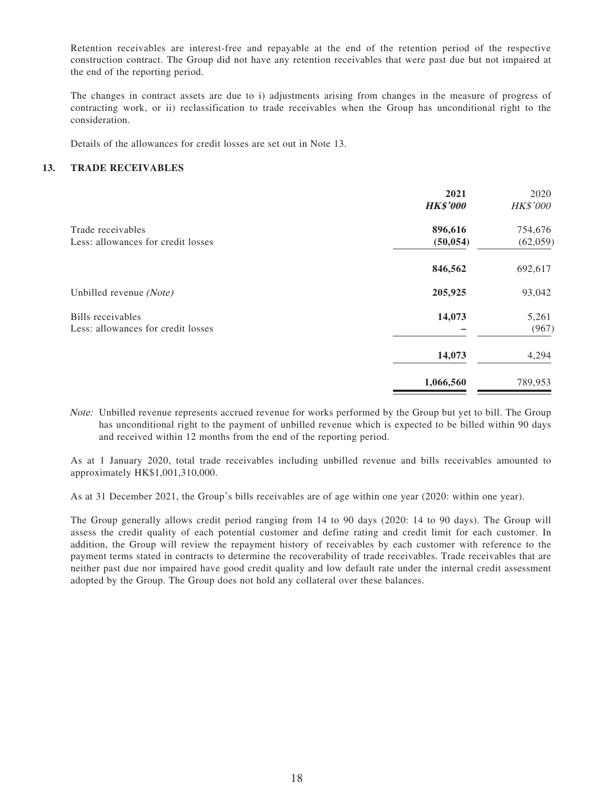Retention receivables are interest-free and repayable at the end of the retention period of the respective construction contract. The Group did not have any retention receivables that were past due but not impaired at the end of the reporting period.

The changes in contract assets are due to i) adjustments arising from changes in the measure of progress of contracting work, or ii) reclassification to trade receivables when the Group has unconditional right to the consideration.

Details of the allowances for credit losses are set out in Note 13.

#### **13. TRADE RECEIVABLES**

| 2021            | 2020            |
|-----------------|-----------------|
| <b>HK\$'000</b> | <b>HK\$'000</b> |
| 896,616         | 754,676         |
| (50, 054)       | (62,059)        |
| 846,562         | 692,617         |
| 205,925         | 93,042          |
| 14,073          | 5,261           |
|                 | (967)           |
| 14,073          | 4,294           |
| 1,066,560       | 789,953         |
|                 |                 |

Note: Unbilled revenue represents accrued revenue for works performed by the Group but yet to bill. The Group has unconditional right to the payment of unbilled revenue which is expected to be billed within 90 days and received within 12 months from the end of the reporting period.

As at 1 January 2020, total trade receivables including unbilled revenue and bills receivables amounted to approximately HK\$1,001,310,000.

As at 31 December 2021, the Group's bills receivables are of age within one year (2020: within one year).

The Group generally allows credit period ranging from 14 to 90 days (2020: 14 to 90 days). The Group will assess the credit quality of each potential customer and define rating and credit limit for each customer. In addition, the Group will review the repayment history of receivables by each customer with reference to the payment terms stated in contracts to determine the recoverability of trade receivables. Trade receivables that are neither past due nor impaired have good credit quality and low default rate under the internal credit assessment adopted by the Group. The Group does not hold any collateral over these balances.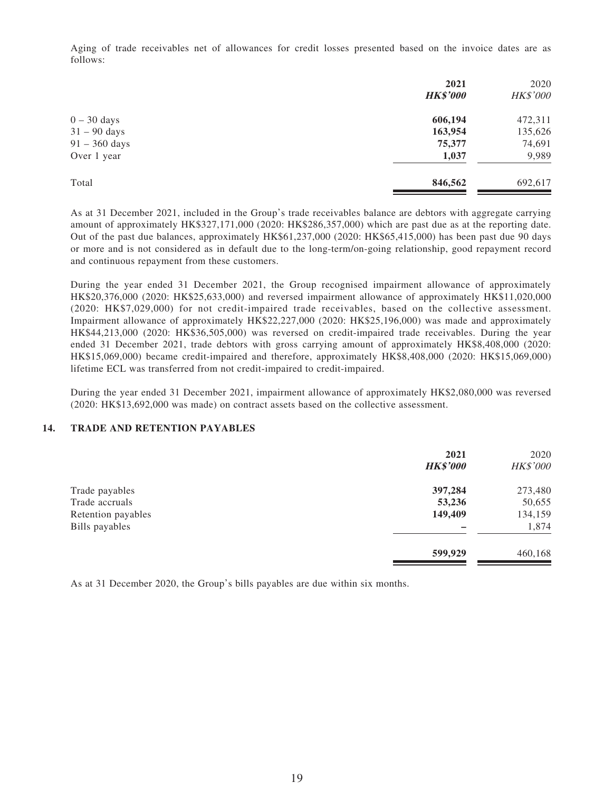Aging of trade receivables net of allowances for credit losses presented based on the invoice dates are as follows:

|                         | 2021            | 2020            |
|-------------------------|-----------------|-----------------|
|                         | <b>HK\$'000</b> | <b>HK\$'000</b> |
| $0 - 30$ days           | 606,194         | 472,311         |
| $31 - 90$ days          | 163,954         | 135,626         |
| $91 - 360 \text{ days}$ | 75,377          | 74,691          |
| Over 1 year             | 1,037           | 9,989           |
| Total                   | 846,562         | 692,617         |

As at 31 December 2021, included in the Group's trade receivables balance are debtors with aggregate carrying amount of approximately HK\$327,171,000 (2020: HK\$286,357,000) which are past due as at the reporting date. Out of the past due balances, approximately HK\$61,237,000 (2020: HK\$65,415,000) has been past due 90 days or more and is not considered as in default due to the long-term/on-going relationship, good repayment record and continuous repayment from these customers.

During the year ended 31 December 2021, the Group recognised impairment allowance of approximately HK\$20,376,000 (2020: HK\$25,633,000) and reversed impairment allowance of approximately HK\$11,020,000 (2020: HK\$7,029,000) for not credit-impaired trade receivables, based on the collective assessment. Impairment allowance of approximately HK\$22,227,000 (2020: HK\$25,196,000) was made and approximately HK\$44,213,000 (2020: HK\$36,505,000) was reversed on credit-impaired trade receivables. During the year ended 31 December 2021, trade debtors with gross carrying amount of approximately HK\$8,408,000 (2020: HK\$15,069,000) became credit-impaired and therefore, approximately HK\$8,408,000 (2020: HK\$15,069,000) lifetime ECL was transferred from not credit-impaired to credit-impaired.

During the year ended 31 December 2021, impairment allowance of approximately HK\$2,080,000 was reversed (2020: HK\$13,692,000 was made) on contract assets based on the collective assessment.

#### **14. TRADE AND RETENTION PAYABLES**

|                    | 2021<br><b>HK\$'000</b> | 2020<br>HK\$'000 |
|--------------------|-------------------------|------------------|
| Trade payables     | 397,284                 | 273,480          |
| Trade accruals     | 53,236                  | 50,655           |
| Retention payables | 149,409                 | 134,159          |
| Bills payables     |                         | 1,874            |
|                    | 599,929                 | 460,168          |

As at 31 December 2020, the Group's bills payables are due within six months.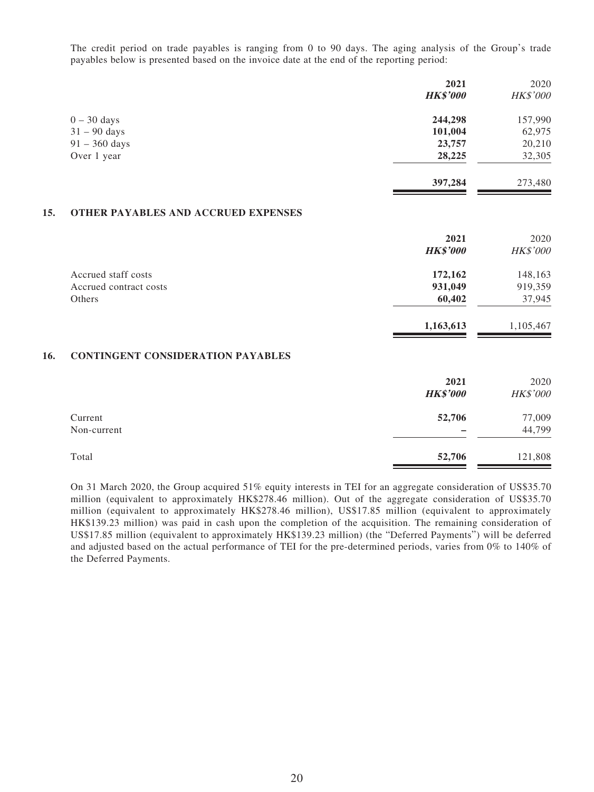The credit period on trade payables is ranging from 0 to 90 days. The aging analysis of the Group's trade payables below is presented based on the invoice date at the end of the reporting period:

| 2021            | 2020      |
|-----------------|-----------|
| <b>HK\$'000</b> | HK\$'000  |
| 244,298         | 157,990   |
| 101,004         | 62,975    |
| 23,757          | 20,210    |
| 28,225          | 32,305    |
| 397,284         | 273,480   |
|                 |           |
| 2021            | 2020      |
| <b>HK\$'000</b> | HK\$'000  |
| 172,162         | 148,163   |
|                 | 919,359   |
| 60,402          | 37,945    |
| 1,163,613       | 1,105,467 |
|                 |           |
| 2021            | 2020      |
| <b>HK\$'000</b> | HK\$'000  |
| 52,706          | 77,009    |
|                 | 44,799    |
| 52,706          | 121,808   |
|                 | 931,049   |

On 31 March 2020, the Group acquired 51% equity interests in TEI for an aggregate consideration of US\$35.70 million (equivalent to approximately HK\$278.46 million). Out of the aggregate consideration of US\$35.70 million (equivalent to approximately HK\$278.46 million), US\$17.85 million (equivalent to approximately HK\$139.23 million) was paid in cash upon the completion of the acquisition. The remaining consideration of US\$17.85 million (equivalent to approximately HK\$139.23 million) (the "Deferred Payments") will be deferred and adjusted based on the actual performance of TEI for the pre-determined periods, varies from 0% to 140% of the Deferred Payments.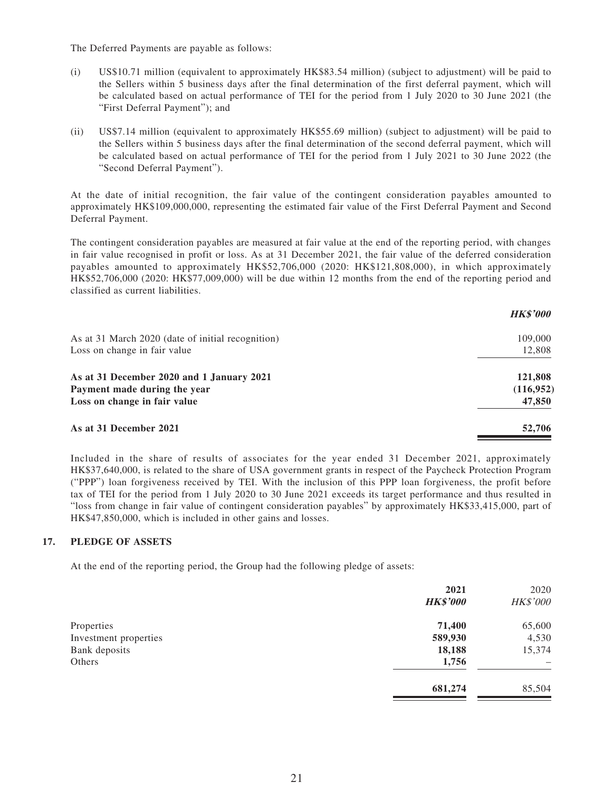The Deferred Payments are payable as follows:

- (i) US\$10.71 million (equivalent to approximately HK\$83.54 million) (subject to adjustment) will be paid to the Sellers within 5 business days after the final determination of the first deferral payment, which will be calculated based on actual performance of TEI for the period from 1 July 2020 to 30 June 2021 (the "First Deferral Payment"); and
- (ii) US\$7.14 million (equivalent to approximately HK\$55.69 million) (subject to adjustment) will be paid to the Sellers within 5 business days after the final determination of the second deferral payment, which will be calculated based on actual performance of TEI for the period from 1 July 2021 to 30 June 2022 (the "Second Deferral Payment").

At the date of initial recognition, the fair value of the contingent consideration payables amounted to approximately HK\$109,000,000, representing the estimated fair value of the First Deferral Payment and Second Deferral Payment.

The contingent consideration payables are measured at fair value at the end of the reporting period, with changes in fair value recognised in profit or loss. As at 31 December 2021, the fair value of the deferred consideration payables amounted to approximately HK\$52,706,000 (2020: HK\$121,808,000), in which approximately HK\$52,706,000 (2020: HK\$77,009,000) will be due within 12 months from the end of the reporting period and classified as current liabilities.

|                                                   | <b>HK\$'000</b> |
|---------------------------------------------------|-----------------|
| As at 31 March 2020 (date of initial recognition) | 109,000         |
| Loss on change in fair value                      | 12,808          |
| As at 31 December 2020 and 1 January 2021         | 121,808         |
| Payment made during the year                      | (116, 952)      |
| Loss on change in fair value                      | 47,850          |
| As at 31 December 2021                            | 52,706          |

Included in the share of results of associates for the year ended 31 December 2021, approximately HK\$37,640,000, is related to the share of USA government grants in respect of the Paycheck Protection Program ("PPP") loan forgiveness received by TEI. With the inclusion of this PPP loan forgiveness, the profit before tax of TEI for the period from 1 July 2020 to 30 June 2021 exceeds its target performance and thus resulted in "loss from change in fair value of contingent consideration payables" by approximately HK\$33,415,000, part of HK\$47,850,000, which is included in other gains and losses.

#### **17. PLEDGE OF ASSETS**

At the end of the reporting period, the Group had the following pledge of assets:

|                       | 2021<br><b>HK\$'000</b> | 2020<br>HK\$'000 |
|-----------------------|-------------------------|------------------|
| Properties            | 71,400                  | 65,600           |
| Investment properties | 589,930                 | 4,530            |
| Bank deposits         | 18,188                  | 15,374           |
| Others                | 1,756                   | -                |
|                       | 681,274                 | 85,504           |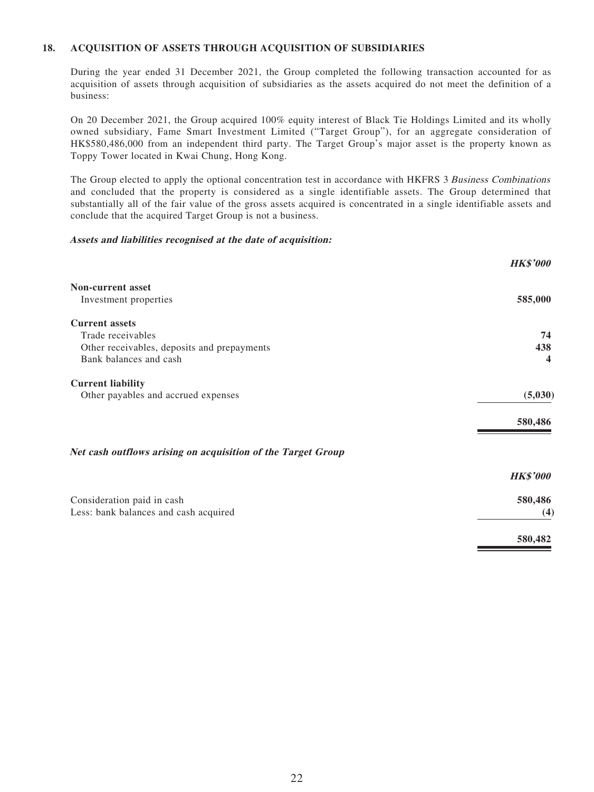### **18. ACQUISITION OF ASSETS THROUGH ACQUISITION OF SUBSIDIARIES**

During the year ended 31 December 2021, the Group completed the following transaction accounted for as acquisition of assets through acquisition of subsidiaries as the assets acquired do not meet the definition of a business:

On 20 December 2021, the Group acquired 100% equity interest of Black Tie Holdings Limited and its wholly owned subsidiary, Fame Smart Investment Limited ("Target Group"), for an aggregate consideration of HK\$580,486,000 from an independent third party. The Target Group's major asset is the property known as Toppy Tower located in Kwai Chung, Hong Kong.

The Group elected to apply the optional concentration test in accordance with HKFRS 3 Business Combinations and concluded that the property is considered as a single identifiable assets. The Group determined that substantially all of the fair value of the gross assets acquired is concentrated in a single identifiable assets and conclude that the acquired Target Group is not a business.

#### **Assets and liabilities recognised at the date of acquisition:**

|                                                              | <b>HK\$'000</b> |
|--------------------------------------------------------------|-----------------|
| Non-current asset                                            |                 |
| Investment properties                                        | 585,000         |
| <b>Current assets</b>                                        |                 |
| Trade receivables                                            | 74              |
| Other receivables, deposits and prepayments                  | 438             |
| Bank balances and cash                                       | 4               |
| <b>Current liability</b>                                     |                 |
| Other payables and accrued expenses                          | (5,030)         |
|                                                              | 580,486         |
| Net cash outflows arising on acquisition of the Target Group |                 |
|                                                              | <b>HK\$'000</b> |
| Consideration paid in cash                                   | 580,486         |
| Less: bank balances and cash acquired                        | (4)             |
|                                                              | 580,482         |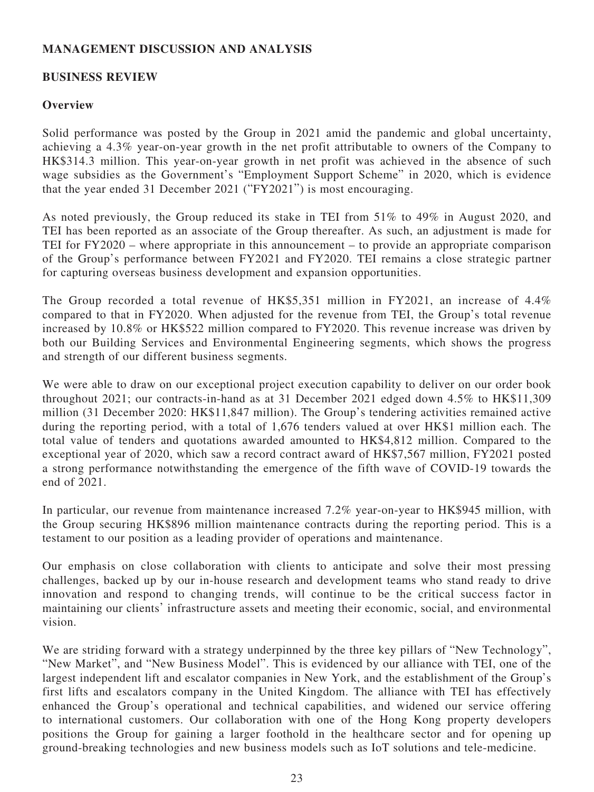## **MANAGEMENT DISCUSSION AND ANALYSIS**

### **BUSINESS REVIEW**

### **Overview**

Solid performance was posted by the Group in 2021 amid the pandemic and global uncertainty, achieving a 4.3% year-on-year growth in the net profit attributable to owners of the Company to HK\$314.3 million. This year-on-year growth in net profit was achieved in the absence of such wage subsidies as the Government's "Employment Support Scheme" in 2020, which is evidence that the year ended 31 December 2021 ("FY2021") is most encouraging.

As noted previously, the Group reduced its stake in TEI from 51% to 49% in August 2020, and TEI has been reported as an associate of the Group thereafter. As such, an adjustment is made for TEI for FY2020 – where appropriate in this announcement – to provide an appropriate comparison of the Group's performance between FY2021 and FY2020. TEI remains a close strategic partner for capturing overseas business development and expansion opportunities.

The Group recorded a total revenue of HK\$5,351 million in FY2021, an increase of 4.4% compared to that in FY2020. When adjusted for the revenue from TEI, the Group's total revenue increased by 10.8% or HK\$522 million compared to FY2020. This revenue increase was driven by both our Building Services and Environmental Engineering segments, which shows the progress and strength of our different business segments.

We were able to draw on our exceptional project execution capability to deliver on our order book throughout 2021; our contracts-in-hand as at 31 December 2021 edged down 4.5% to HK\$11,309 million (31 December 2020: HK\$11,847 million). The Group's tendering activities remained active during the reporting period, with a total of 1,676 tenders valued at over HK\$1 million each. The total value of tenders and quotations awarded amounted to HK\$4,812 million. Compared to the exceptional year of 2020, which saw a record contract award of HK\$7,567 million, FY2021 posted a strong performance notwithstanding the emergence of the fifth wave of COVID-19 towards the end of 2021.

In particular, our revenue from maintenance increased 7.2% year-on-year to HK\$945 million, with the Group securing HK\$896 million maintenance contracts during the reporting period. This is a testament to our position as a leading provider of operations and maintenance.

Our emphasis on close collaboration with clients to anticipate and solve their most pressing challenges, backed up by our in-house research and development teams who stand ready to drive innovation and respond to changing trends, will continue to be the critical success factor in maintaining our clients' infrastructure assets and meeting their economic, social, and environmental vision.

We are striding forward with a strategy underpinned by the three key pillars of "New Technology", "New Market", and "New Business Model". This is evidenced by our alliance with TEI, one of the largest independent lift and escalator companies in New York, and the establishment of the Group's first lifts and escalators company in the United Kingdom. The alliance with TEI has effectively enhanced the Group's operational and technical capabilities, and widened our service offering to international customers. Our collaboration with one of the Hong Kong property developers positions the Group for gaining a larger foothold in the healthcare sector and for opening up ground-breaking technologies and new business models such as IoT solutions and tele-medicine.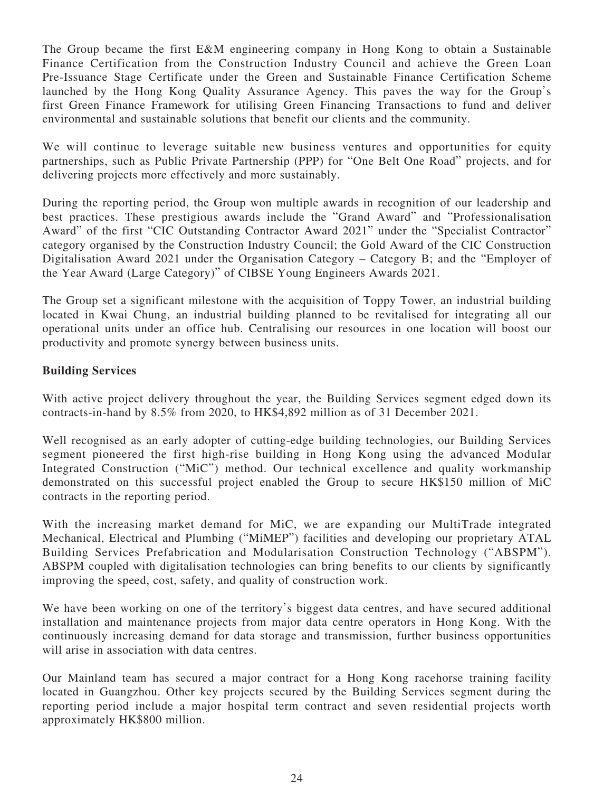The Group became the first E&M engineering company in Hong Kong to obtain a Sustainable Finance Certification from the Construction Industry Council and achieve the Green Loan Pre-Issuance Stage Certificate under the Green and Sustainable Finance Certification Scheme launched by the Hong Kong Quality Assurance Agency. This paves the way for the Group's first Green Finance Framework for utilising Green Financing Transactions to fund and deliver environmental and sustainable solutions that benefit our clients and the community.

We will continue to leverage suitable new business ventures and opportunities for equity partnerships, such as Public Private Partnership (PPP) for "One Belt One Road" projects, and for delivering projects more effectively and more sustainably.

During the reporting period, the Group won multiple awards in recognition of our leadership and best practices. These prestigious awards include the "Grand Award" and "Professionalisation Award" of the first "CIC Outstanding Contractor Award 2021" under the "Specialist Contractor" category organised by the Construction Industry Council; the Gold Award of the CIC Construction Digitalisation Award 2021 under the Organisation Category – Category B; and the "Employer of the Year Award (Large Category)" of CIBSE Young Engineers Awards 2021.

The Group set a significant milestone with the acquisition of Toppy Tower, an industrial building located in Kwai Chung, an industrial building planned to be revitalised for integrating all our operational units under an office hub. Centralising our resources in one location will boost our productivity and promote synergy between business units.

## **Building Services**

With active project delivery throughout the year, the Building Services segment edged down its contracts-in-hand by 8.5% from 2020, to HK\$4,892 million as of 31 December 2021.

Well recognised as an early adopter of cutting-edge building technologies, our Building Services segment pioneered the first high-rise building in Hong Kong using the advanced Modular Integrated Construction ("MiC") method. Our technical excellence and quality workmanship demonstrated on this successful project enabled the Group to secure HK\$150 million of MiC contracts in the reporting period.

With the increasing market demand for MiC, we are expanding our MultiTrade integrated Mechanical, Electrical and Plumbing ("MiMEP") facilities and developing our proprietary ATAL Building Services Prefabrication and Modularisation Construction Technology ("ABSPM"). ABSPM coupled with digitalisation technologies can bring benefits to our clients by significantly improving the speed, cost, safety, and quality of construction work.

We have been working on one of the territory's biggest data centres, and have secured additional installation and maintenance projects from major data centre operators in Hong Kong. With the continuously increasing demand for data storage and transmission, further business opportunities will arise in association with data centres.

Our Mainland team has secured a major contract for a Hong Kong racehorse training facility located in Guangzhou. Other key projects secured by the Building Services segment during the reporting period include a major hospital term contract and seven residential projects worth approximately HK\$800 million.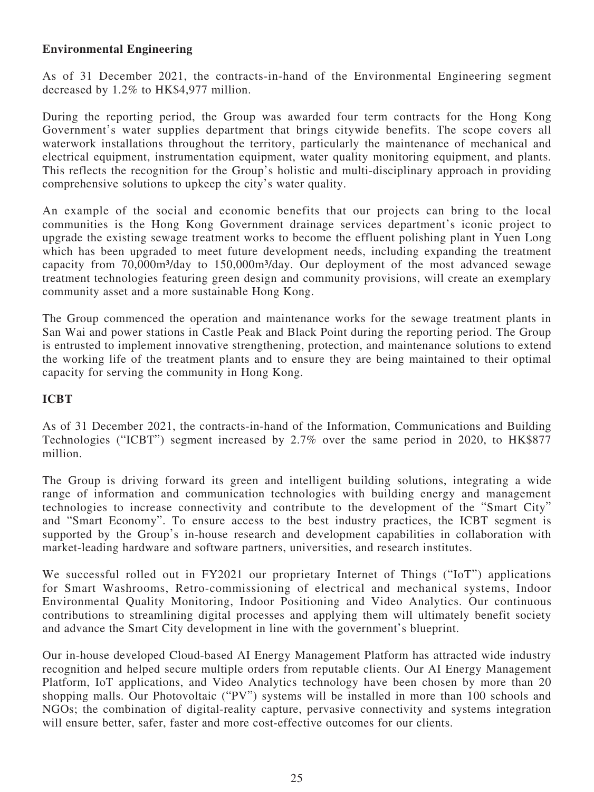## **Environmental Engineering**

As of 31 December 2021, the contracts-in-hand of the Environmental Engineering segment decreased by 1.2% to HK\$4,977 million.

During the reporting period, the Group was awarded four term contracts for the Hong Kong Government's water supplies department that brings citywide benefits. The scope covers all waterwork installations throughout the territory, particularly the maintenance of mechanical and electrical equipment, instrumentation equipment, water quality monitoring equipment, and plants. This reflects the recognition for the Group's holistic and multi-disciplinary approach in providing comprehensive solutions to upkeep the city's water quality.

An example of the social and economic benefits that our projects can bring to the local communities is the Hong Kong Government drainage services department's iconic project to upgrade the existing sewage treatment works to become the effluent polishing plant in Yuen Long which has been upgraded to meet future development needs, including expanding the treatment capacity from 70,000m<sup>3</sup>/day to 150,000m<sup>3</sup>/day. Our deployment of the most advanced sewage treatment technologies featuring green design and community provisions, will create an exemplary community asset and a more sustainable Hong Kong.

The Group commenced the operation and maintenance works for the sewage treatment plants in San Wai and power stations in Castle Peak and Black Point during the reporting period. The Group is entrusted to implement innovative strengthening, protection, and maintenance solutions to extend the working life of the treatment plants and to ensure they are being maintained to their optimal capacity for serving the community in Hong Kong.

### **ICBT**

As of 31 December 2021, the contracts-in-hand of the Information, Communications and Building Technologies ("ICBT") segment increased by 2.7% over the same period in 2020, to HK\$877 million.

The Group is driving forward its green and intelligent building solutions, integrating a wide range of information and communication technologies with building energy and management technologies to increase connectivity and contribute to the development of the "Smart City" and "Smart Economy". To ensure access to the best industry practices, the ICBT segment is supported by the Group's in-house research and development capabilities in collaboration with market-leading hardware and software partners, universities, and research institutes.

We successful rolled out in FY2021 our proprietary Internet of Things ("IoT") applications for Smart Washrooms, Retro-commissioning of electrical and mechanical systems, Indoor Environmental Quality Monitoring, Indoor Positioning and Video Analytics. Our continuous contributions to streamlining digital processes and applying them will ultimately benefit society and advance the Smart City development in line with the government's blueprint.

Our in-house developed Cloud-based AI Energy Management Platform has attracted wide industry recognition and helped secure multiple orders from reputable clients. Our AI Energy Management Platform, IoT applications, and Video Analytics technology have been chosen by more than 20 shopping malls. Our Photovoltaic ("PV") systems will be installed in more than 100 schools and NGOs; the combination of digital-reality capture, pervasive connectivity and systems integration will ensure better, safer, faster and more cost-effective outcomes for our clients.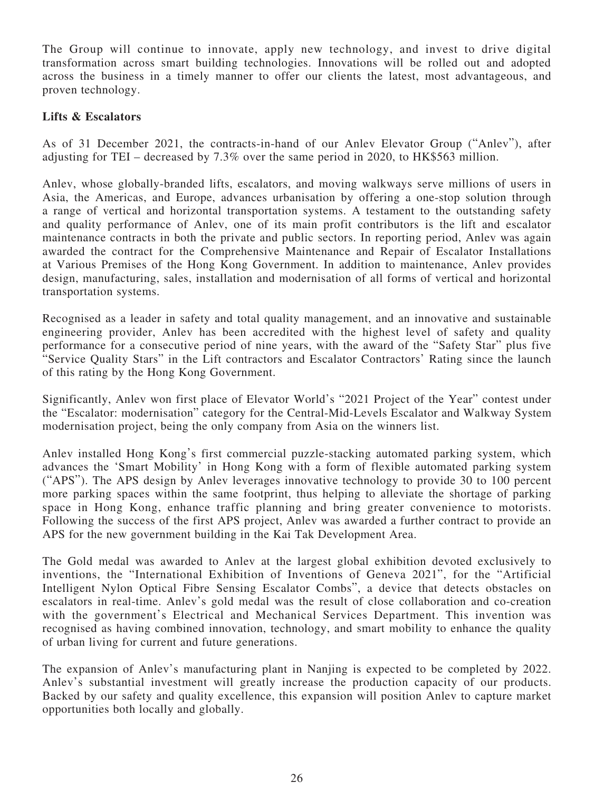The Group will continue to innovate, apply new technology, and invest to drive digital transformation across smart building technologies. Innovations will be rolled out and adopted across the business in a timely manner to offer our clients the latest, most advantageous, and proven technology.

## **Lifts & Escalators**

As of 31 December 2021, the contracts-in-hand of our Anlev Elevator Group ("Anlev"), after adjusting for TEI – decreased by 7.3% over the same period in 2020, to HK\$563 million.

Anlev, whose globally-branded lifts, escalators, and moving walkways serve millions of users in Asia, the Americas, and Europe, advances urbanisation by offering a one-stop solution through a range of vertical and horizontal transportation systems. A testament to the outstanding safety and quality performance of Anlev, one of its main profit contributors is the lift and escalator maintenance contracts in both the private and public sectors. In reporting period, Anlev was again awarded the contract for the Comprehensive Maintenance and Repair of Escalator Installations at Various Premises of the Hong Kong Government. In addition to maintenance, Anlev provides design, manufacturing, sales, installation and modernisation of all forms of vertical and horizontal transportation systems.

Recognised as a leader in safety and total quality management, and an innovative and sustainable engineering provider, Anlev has been accredited with the highest level of safety and quality performance for a consecutive period of nine years, with the award of the "Safety Star" plus five "Service Quality Stars" in the Lift contractors and Escalator Contractors' Rating since the launch of this rating by the Hong Kong Government.

Significantly, Anlev won first place of Elevator World's "2021 Project of the Year" contest under the "Escalator: modernisation" category for the Central-Mid-Levels Escalator and Walkway System modernisation project, being the only company from Asia on the winners list.

Anlev installed Hong Kong's first commercial puzzle-stacking automated parking system, which advances the 'Smart Mobility' in Hong Kong with a form of flexible automated parking system ("APS"). The APS design by Anlev leverages innovative technology to provide 30 to 100 percent more parking spaces within the same footprint, thus helping to alleviate the shortage of parking space in Hong Kong, enhance traffic planning and bring greater convenience to motorists. Following the success of the first APS project, Anlev was awarded a further contract to provide an APS for the new government building in the Kai Tak Development Area.

The Gold medal was awarded to Anlev at the largest global exhibition devoted exclusively to inventions, the "International Exhibition of Inventions of Geneva 2021", for the "Artificial Intelligent Nylon Optical Fibre Sensing Escalator Combs", a device that detects obstacles on escalators in real-time. Anlev's gold medal was the result of close collaboration and co-creation with the government's Electrical and Mechanical Services Department. This invention was recognised as having combined innovation, technology, and smart mobility to enhance the quality of urban living for current and future generations.

The expansion of Anlev's manufacturing plant in Nanjing is expected to be completed by 2022. Anlev's substantial investment will greatly increase the production capacity of our products. Backed by our safety and quality excellence, this expansion will position Anlev to capture market opportunities both locally and globally.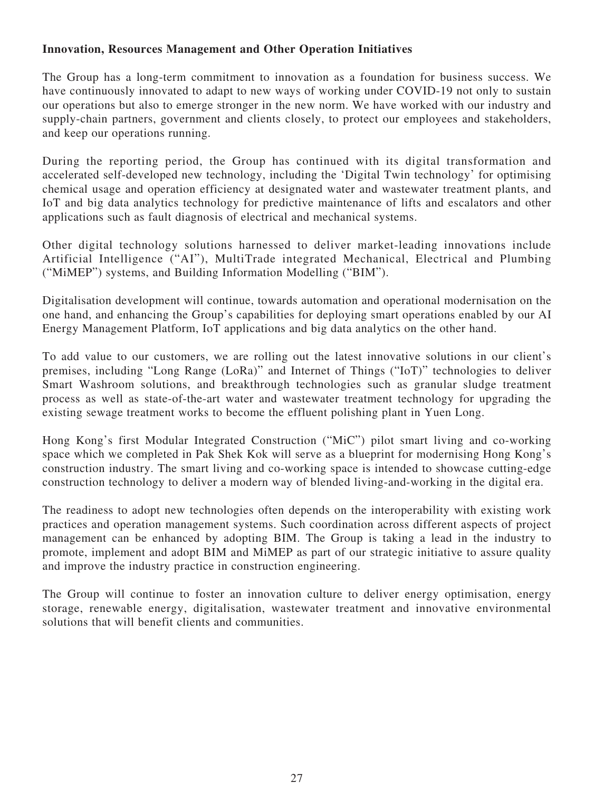## **Innovation, Resources Management and Other Operation Initiatives**

The Group has a long-term commitment to innovation as a foundation for business success. We have continuously innovated to adapt to new ways of working under COVID-19 not only to sustain our operations but also to emerge stronger in the new norm. We have worked with our industry and supply-chain partners, government and clients closely, to protect our employees and stakeholders, and keep our operations running.

During the reporting period, the Group has continued with its digital transformation and accelerated self-developed new technology, including the 'Digital Twin technology' for optimising chemical usage and operation efficiency at designated water and wastewater treatment plants, and IoT and big data analytics technology for predictive maintenance of lifts and escalators and other applications such as fault diagnosis of electrical and mechanical systems.

Other digital technology solutions harnessed to deliver market-leading innovations include Artificial Intelligence ("AI"), MultiTrade integrated Mechanical, Electrical and Plumbing ("MiMEP") systems, and Building Information Modelling ("BIM").

Digitalisation development will continue, towards automation and operational modernisation on the one hand, and enhancing the Group's capabilities for deploying smart operations enabled by our AI Energy Management Platform, IoT applications and big data analytics on the other hand.

To add value to our customers, we are rolling out the latest innovative solutions in our client's premises, including "Long Range (LoRa)" and Internet of Things ("IoT)" technologies to deliver Smart Washroom solutions, and breakthrough technologies such as granular sludge treatment process as well as state-of-the-art water and wastewater treatment technology for upgrading the existing sewage treatment works to become the effluent polishing plant in Yuen Long.

Hong Kong's first Modular Integrated Construction ("MiC") pilot smart living and co-working space which we completed in Pak Shek Kok will serve as a blueprint for modernising Hong Kong's construction industry. The smart living and co-working space is intended to showcase cutting-edge construction technology to deliver a modern way of blended living-and-working in the digital era.

The readiness to adopt new technologies often depends on the interoperability with existing work practices and operation management systems. Such coordination across different aspects of project management can be enhanced by adopting BIM. The Group is taking a lead in the industry to promote, implement and adopt BIM and MiMEP as part of our strategic initiative to assure quality and improve the industry practice in construction engineering.

The Group will continue to foster an innovation culture to deliver energy optimisation, energy storage, renewable energy, digitalisation, wastewater treatment and innovative environmental solutions that will benefit clients and communities.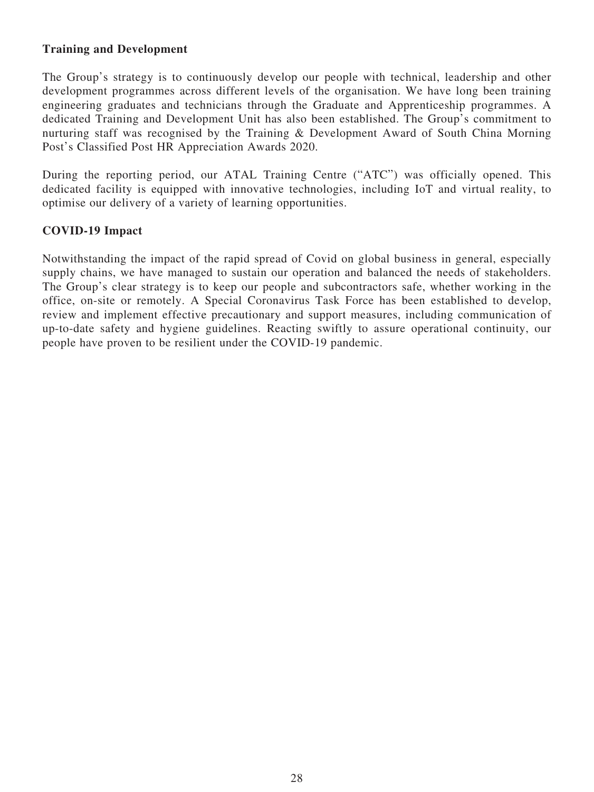### **Training and Development**

The Group's strategy is to continuously develop our people with technical, leadership and other development programmes across different levels of the organisation. We have long been training engineering graduates and technicians through the Graduate and Apprenticeship programmes. A dedicated Training and Development Unit has also been established. The Group's commitment to nurturing staff was recognised by the Training & Development Award of South China Morning Post's Classified Post HR Appreciation Awards 2020.

During the reporting period, our ATAL Training Centre ("ATC") was officially opened. This dedicated facility is equipped with innovative technologies, including IoT and virtual reality, to optimise our delivery of a variety of learning opportunities.

### **COVID-19 Impact**

Notwithstanding the impact of the rapid spread of Covid on global business in general, especially supply chains, we have managed to sustain our operation and balanced the needs of stakeholders. The Group's clear strategy is to keep our people and subcontractors safe, whether working in the office, on-site or remotely. A Special Coronavirus Task Force has been established to develop, review and implement effective precautionary and support measures, including communication of up-to-date safety and hygiene guidelines. Reacting swiftly to assure operational continuity, our people have proven to be resilient under the COVID-19 pandemic.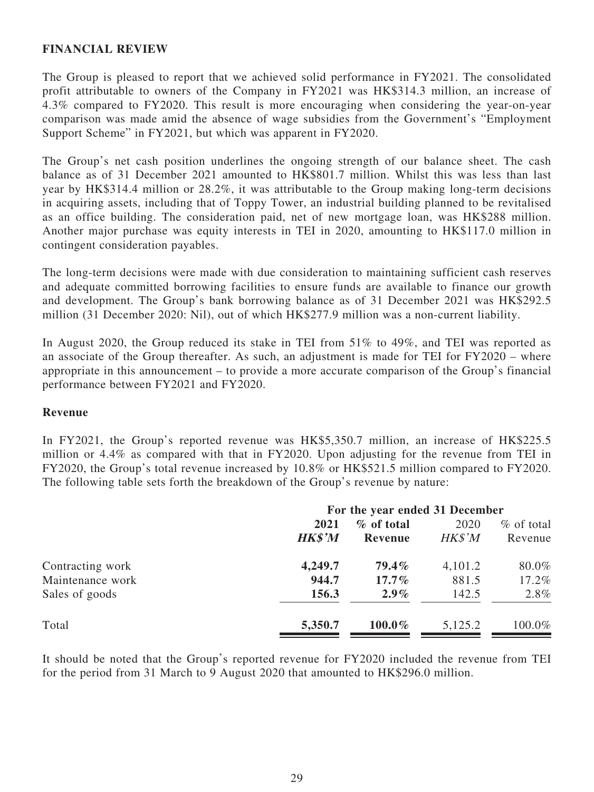### **FINANCIAL REVIEW**

The Group is pleased to report that we achieved solid performance in FY2021. The consolidated profit attributable to owners of the Company in FY2021 was HK\$314.3 million, an increase of 4.3% compared to FY2020. This result is more encouraging when considering the year-on-year comparison was made amid the absence of wage subsidies from the Government's "Employment Support Scheme" in FY2021, but which was apparent in FY2020.

The Group's net cash position underlines the ongoing strength of our balance sheet. The cash balance as of 31 December 2021 amounted to HK\$801.7 million. Whilst this was less than last year by HK\$314.4 million or 28.2%, it was attributable to the Group making long-term decisions in acquiring assets, including that of Toppy Tower, an industrial building planned to be revitalised as an office building. The consideration paid, net of new mortgage loan, was HK\$288 million. Another major purchase was equity interests in TEI in 2020, amounting to HK\$117.0 million in contingent consideration payables.

The long-term decisions were made with due consideration to maintaining sufficient cash reserves and adequate committed borrowing facilities to ensure funds are available to finance our growth and development. The Group's bank borrowing balance as of 31 December 2021 was HK\$292.5 million (31 December 2020: Nil), out of which HK\$277.9 million was a non-current liability.

In August 2020, the Group reduced its stake in TEI from 51% to 49%, and TEI was reported as an associate of the Group thereafter. As such, an adjustment is made for TEI for FY2020 – where appropriate in this announcement – to provide a more accurate comparison of the Group's financial performance between FY2021 and FY2020.

### **Revenue**

In FY2021, the Group's reported revenue was HK\$5,350.7 million, an increase of HK\$225.5 million or 4.4% as compared with that in FY2020. Upon adjusting for the revenue from TEI in FY2020, the Group's total revenue increased by 10.8% or HK\$521.5 million compared to FY2020. The following table sets forth the breakdown of the Group's revenue by nature:

|                  | For the year ended 31 December |           |                      |         |
|------------------|--------------------------------|-----------|----------------------|---------|
|                  | 2021<br>% of total             |           | $%$ of total<br>2020 |         |
|                  | <b>HK\$'M</b>                  | Revenue   | HK\$'M               | Revenue |
| Contracting work | 4,249.7                        | $79.4\%$  | 4,101.2              | 80.0%   |
| Maintenance work | 944.7                          | $17.7\%$  | 881.5                | 17.2%   |
| Sales of goods   | 156.3                          | $2.9\%$   | 142.5                | $2.8\%$ |
| Total            | 5,350.7                        | $100.0\%$ | 5,125.2              | 100.0%  |

It should be noted that the Group's reported revenue for FY2020 included the revenue from TEI for the period from 31 March to 9 August 2020 that amounted to HK\$296.0 million.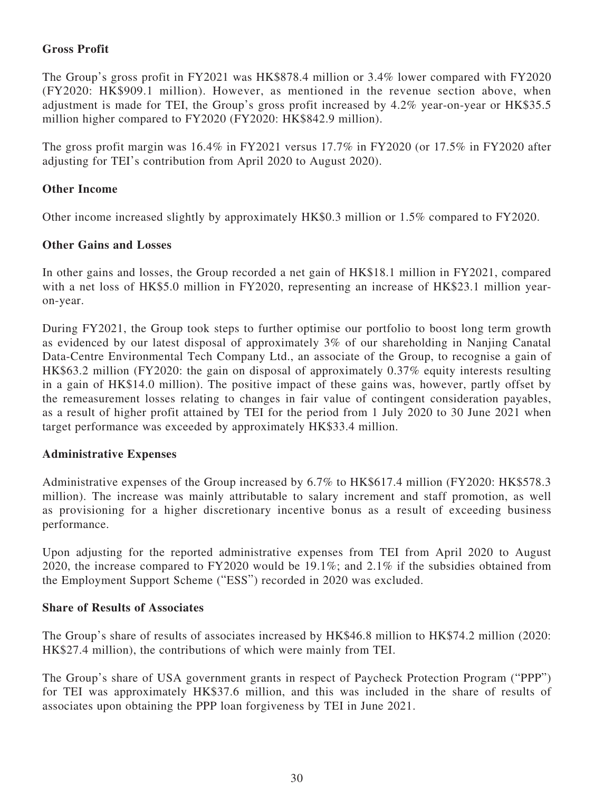## **Gross Profit**

The Group's gross profit in FY2021 was HK\$878.4 million or 3.4% lower compared with FY2020 (FY2020: HK\$909.1 million). However, as mentioned in the revenue section above, when adjustment is made for TEI, the Group's gross profit increased by 4.2% year-on-year or HK\$35.5 million higher compared to FY2020 (FY2020: HK\$842.9 million).

The gross profit margin was  $16.4\%$  in FY2021 versus  $17.7\%$  in FY2020 (or  $17.5\%$  in FY2020 after adjusting for TEI's contribution from April 2020 to August 2020).

### **Other Income**

Other income increased slightly by approximately HK\$0.3 million or 1.5% compared to FY2020.

### **Other Gains and Losses**

In other gains and losses, the Group recorded a net gain of HK\$18.1 million in FY2021, compared with a net loss of HK\$5.0 million in FY2020, representing an increase of HK\$23.1 million yearon-year.

During FY2021, the Group took steps to further optimise our portfolio to boost long term growth as evidenced by our latest disposal of approximately 3% of our shareholding in Nanjing Canatal Data-Centre Environmental Tech Company Ltd., an associate of the Group, to recognise a gain of HK\$63.2 million (FY2020: the gain on disposal of approximately 0.37% equity interests resulting in a gain of HK\$14.0 million). The positive impact of these gains was, however, partly offset by the remeasurement losses relating to changes in fair value of contingent consideration payables, as a result of higher profit attained by TEI for the period from 1 July 2020 to 30 June 2021 when target performance was exceeded by approximately HK\$33.4 million.

### **Administrative Expenses**

Administrative expenses of the Group increased by 6.7% to HK\$617.4 million (FY2020: HK\$578.3 million). The increase was mainly attributable to salary increment and staff promotion, as well as provisioning for a higher discretionary incentive bonus as a result of exceeding business performance.

Upon adjusting for the reported administrative expenses from TEI from April 2020 to August 2020, the increase compared to FY2020 would be 19.1%; and 2.1% if the subsidies obtained from the Employment Support Scheme ("ESS") recorded in 2020 was excluded.

## **Share of Results of Associates**

The Group's share of results of associates increased by HK\$46.8 million to HK\$74.2 million (2020: HK\$27.4 million), the contributions of which were mainly from TEI.

The Group's share of USA government grants in respect of Paycheck Protection Program ("PPP") for TEI was approximately HK\$37.6 million, and this was included in the share of results of associates upon obtaining the PPP loan forgiveness by TEI in June 2021.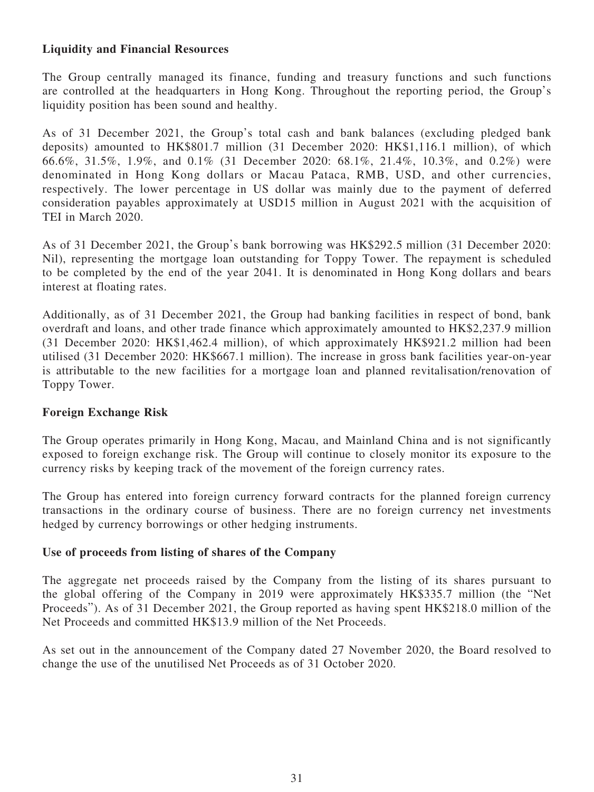## **Liquidity and Financial Resources**

The Group centrally managed its finance, funding and treasury functions and such functions are controlled at the headquarters in Hong Kong. Throughout the reporting period, the Group's liquidity position has been sound and healthy.

As of 31 December 2021, the Group's total cash and bank balances (excluding pledged bank deposits) amounted to HK\$801.7 million (31 December 2020: HK\$1,116.1 million), of which 66.6%, 31.5%, 1.9%, and 0.1% (31 December 2020: 68.1%, 21.4%, 10.3%, and 0.2%) were denominated in Hong Kong dollars or Macau Pataca, RMB, USD, and other currencies, respectively. The lower percentage in US dollar was mainly due to the payment of deferred consideration payables approximately at USD15 million in August 2021 with the acquisition of TEI in March 2020.

As of 31 December 2021, the Group's bank borrowing was HK\$292.5 million (31 December 2020: Nil), representing the mortgage loan outstanding for Toppy Tower. The repayment is scheduled to be completed by the end of the year 2041. It is denominated in Hong Kong dollars and bears interest at floating rates.

Additionally, as of 31 December 2021, the Group had banking facilities in respect of bond, bank overdraft and loans, and other trade finance which approximately amounted to HK\$2,237.9 million (31 December 2020: HK\$1,462.4 million), of which approximately HK\$921.2 million had been utilised (31 December 2020: HK\$667.1 million). The increase in gross bank facilities year-on-year is attributable to the new facilities for a mortgage loan and planned revitalisation/renovation of Toppy Tower.

## **Foreign Exchange Risk**

The Group operates primarily in Hong Kong, Macau, and Mainland China and is not significantly exposed to foreign exchange risk. The Group will continue to closely monitor its exposure to the currency risks by keeping track of the movement of the foreign currency rates.

The Group has entered into foreign currency forward contracts for the planned foreign currency transactions in the ordinary course of business. There are no foreign currency net investments hedged by currency borrowings or other hedging instruments.

### **Use of proceeds from listing of shares of the Company**

The aggregate net proceeds raised by the Company from the listing of its shares pursuant to the global offering of the Company in 2019 were approximately HK\$335.7 million (the "Net Proceeds"). As of 31 December 2021, the Group reported as having spent HK\$218.0 million of the Net Proceeds and committed HK\$13.9 million of the Net Proceeds.

As set out in the announcement of the Company dated 27 November 2020, the Board resolved to change the use of the unutilised Net Proceeds as of 31 October 2020.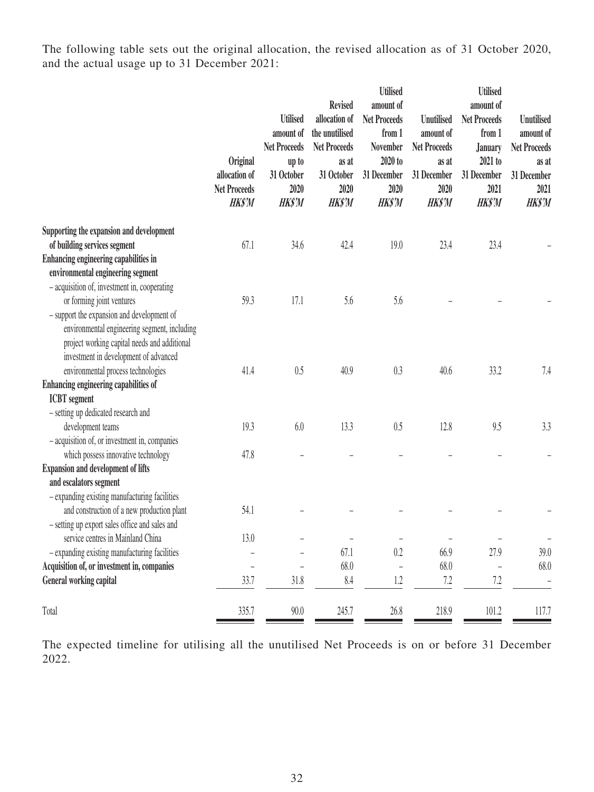The following table sets out the original allocation, the revised allocation as of 31 October 2020, and the actual usage up to 31 December 2021:

|                                                                                            | Original<br>allocation of<br><b>Net Proceeds</b><br><b>HK\$'M</b> | <b>Utilised</b><br>amount of<br><b>Net Proceeds</b><br>up to<br>31 October<br>2020<br><b>HK\$'M</b> | <b>Revised</b><br>allocation of<br>the unutilised<br><b>Net Proceeds</b><br>as at<br>31 October<br>2020<br><b>HK\$'M</b> | <b>Utilised</b><br>amount of<br><b>Net Proceeds</b><br>from 1<br><b>November</b><br>2020 to<br>31 December<br>2020<br><b>HK\$'M</b> | <b>Unutilised</b><br>amount of<br><b>Net Proceeds</b><br>as at<br>31 December<br>2020<br><b>HK\$'M</b> | <b>Utilised</b><br>amount of<br><b>Net Proceeds</b><br>from 1<br><b>January</b><br>2021 to<br>31 December<br>2021<br><b>HK\$'M</b> | <b>Unutilised</b><br>amount of<br><b>Net Proceeds</b><br>as at<br>31 December<br>2021<br><b>HK\$'M</b> |
|--------------------------------------------------------------------------------------------|-------------------------------------------------------------------|-----------------------------------------------------------------------------------------------------|--------------------------------------------------------------------------------------------------------------------------|-------------------------------------------------------------------------------------------------------------------------------------|--------------------------------------------------------------------------------------------------------|------------------------------------------------------------------------------------------------------------------------------------|--------------------------------------------------------------------------------------------------------|
| Supporting the expansion and development                                                   |                                                                   |                                                                                                     |                                                                                                                          |                                                                                                                                     |                                                                                                        |                                                                                                                                    |                                                                                                        |
| of building services segment                                                               | 67.1                                                              | 34.6                                                                                                | 42.4                                                                                                                     | 19.0                                                                                                                                | 23.4                                                                                                   | 23.4                                                                                                                               |                                                                                                        |
| Enhancing engineering capabilities in                                                      |                                                                   |                                                                                                     |                                                                                                                          |                                                                                                                                     |                                                                                                        |                                                                                                                                    |                                                                                                        |
| environmental engineering segment                                                          |                                                                   |                                                                                                     |                                                                                                                          |                                                                                                                                     |                                                                                                        |                                                                                                                                    |                                                                                                        |
| - acquisition of, investment in, cooperating                                               |                                                                   |                                                                                                     |                                                                                                                          |                                                                                                                                     |                                                                                                        |                                                                                                                                    |                                                                                                        |
| or forming joint ventures                                                                  | 59.3                                                              | 17.1                                                                                                | 5.6                                                                                                                      | 5.6                                                                                                                                 |                                                                                                        |                                                                                                                                    |                                                                                                        |
| - support the expansion and development of<br>environmental engineering segment, including |                                                                   |                                                                                                     |                                                                                                                          |                                                                                                                                     |                                                                                                        |                                                                                                                                    |                                                                                                        |
| project working capital needs and additional                                               |                                                                   |                                                                                                     |                                                                                                                          |                                                                                                                                     |                                                                                                        |                                                                                                                                    |                                                                                                        |
| investment in development of advanced                                                      |                                                                   |                                                                                                     |                                                                                                                          |                                                                                                                                     |                                                                                                        |                                                                                                                                    |                                                                                                        |
| environmental process technologies                                                         | 41.4                                                              | 0.5                                                                                                 | 40.9                                                                                                                     | 0.3                                                                                                                                 | 40.6                                                                                                   | 33.2                                                                                                                               | 7.4                                                                                                    |
| Enhancing engineering capabilities of                                                      |                                                                   |                                                                                                     |                                                                                                                          |                                                                                                                                     |                                                                                                        |                                                                                                                                    |                                                                                                        |
| <b>ICBT</b> segment                                                                        |                                                                   |                                                                                                     |                                                                                                                          |                                                                                                                                     |                                                                                                        |                                                                                                                                    |                                                                                                        |
| - setting up dedicated research and                                                        |                                                                   |                                                                                                     |                                                                                                                          |                                                                                                                                     |                                                                                                        |                                                                                                                                    |                                                                                                        |
| development teams                                                                          | 19.3                                                              | 6.0                                                                                                 | 13.3                                                                                                                     | 0.5                                                                                                                                 | 12.8                                                                                                   | 9.5                                                                                                                                | 3.3                                                                                                    |
| - acquisition of, or investment in, companies                                              |                                                                   |                                                                                                     |                                                                                                                          |                                                                                                                                     |                                                                                                        |                                                                                                                                    |                                                                                                        |
| which possess innovative technology                                                        | 47.8                                                              |                                                                                                     |                                                                                                                          |                                                                                                                                     |                                                                                                        |                                                                                                                                    |                                                                                                        |
| <b>Expansion and development of lifts</b>                                                  |                                                                   |                                                                                                     |                                                                                                                          |                                                                                                                                     |                                                                                                        |                                                                                                                                    |                                                                                                        |
| and escalators segment                                                                     |                                                                   |                                                                                                     |                                                                                                                          |                                                                                                                                     |                                                                                                        |                                                                                                                                    |                                                                                                        |
| - expanding existing manufacturing facilities                                              |                                                                   |                                                                                                     |                                                                                                                          |                                                                                                                                     |                                                                                                        |                                                                                                                                    |                                                                                                        |
| and construction of a new production plant                                                 | 54.1                                                              |                                                                                                     |                                                                                                                          |                                                                                                                                     |                                                                                                        |                                                                                                                                    |                                                                                                        |
| - setting up export sales office and sales and                                             |                                                                   |                                                                                                     |                                                                                                                          |                                                                                                                                     |                                                                                                        |                                                                                                                                    |                                                                                                        |
| service centres in Mainland China                                                          | 13.0                                                              |                                                                                                     | $\overline{\phantom{0}}$                                                                                                 |                                                                                                                                     |                                                                                                        |                                                                                                                                    | $\qquad \qquad -$                                                                                      |
| - expanding existing manufacturing facilities                                              |                                                                   |                                                                                                     | 67.1                                                                                                                     | 0.2                                                                                                                                 | 66.9                                                                                                   | 27.9                                                                                                                               | 39.0                                                                                                   |
| Acquisition of, or investment in, companies                                                | L,                                                                |                                                                                                     | 68.0                                                                                                                     | $\overline{a}$                                                                                                                      | 68.0                                                                                                   | $\overline{a}$                                                                                                                     | 68.0                                                                                                   |
| General working capital                                                                    | 33.7                                                              | 31.8                                                                                                | 8.4                                                                                                                      | $1.2\,$                                                                                                                             | $7.2\,$                                                                                                | 7.2                                                                                                                                |                                                                                                        |
| Total                                                                                      | 335.7                                                             | 90.0                                                                                                | 245.7                                                                                                                    | $26.8\,$                                                                                                                            | 218.9                                                                                                  | 101.2                                                                                                                              | 117.7                                                                                                  |

The expected timeline for utilising all the unutilised Net Proceeds is on or before 31 December 2022.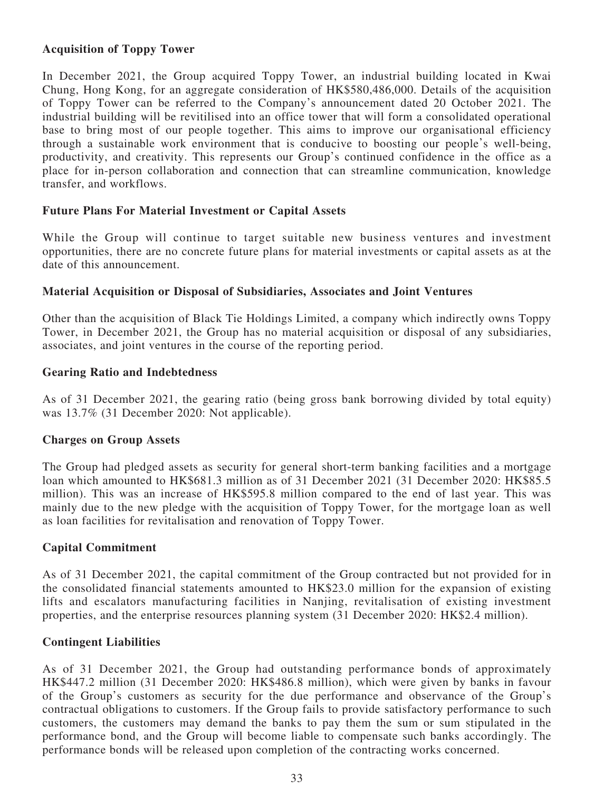### **Acquisition of Toppy Tower**

In December 2021, the Group acquired Toppy Tower, an industrial building located in Kwai Chung, Hong Kong, for an aggregate consideration of HK\$580,486,000. Details of the acquisition of Toppy Tower can be referred to the Company's announcement dated 20 October 2021. The industrial building will be revitilised into an office tower that will form a consolidated operational base to bring most of our people together. This aims to improve our organisational efficiency through a sustainable work environment that is conducive to boosting our people's well-being, productivity, and creativity. This represents our Group's continued confidence in the office as a place for in-person collaboration and connection that can streamline communication, knowledge transfer, and workflows.

### **Future Plans For Material Investment or Capital Assets**

While the Group will continue to target suitable new business ventures and investment opportunities, there are no concrete future plans for material investments or capital assets as at the date of this announcement.

### **Material Acquisition or Disposal of Subsidiaries, Associates and Joint Ventures**

Other than the acquisition of Black Tie Holdings Limited, a company which indirectly owns Toppy Tower, in December 2021, the Group has no material acquisition or disposal of any subsidiaries, associates, and joint ventures in the course of the reporting period.

### **Gearing Ratio and Indebtedness**

As of 31 December 2021, the gearing ratio (being gross bank borrowing divided by total equity) was 13.7% (31 December 2020: Not applicable).

### **Charges on Group Assets**

The Group had pledged assets as security for general short-term banking facilities and a mortgage loan which amounted to HK\$681.3 million as of 31 December 2021 (31 December 2020: HK\$85.5 million). This was an increase of HK\$595.8 million compared to the end of last year. This was mainly due to the new pledge with the acquisition of Toppy Tower, for the mortgage loan as well as loan facilities for revitalisation and renovation of Toppy Tower.

## **Capital Commitment**

As of 31 December 2021, the capital commitment of the Group contracted but not provided for in the consolidated financial statements amounted to HK\$23.0 million for the expansion of existing lifts and escalators manufacturing facilities in Nanjing, revitalisation of existing investment properties, and the enterprise resources planning system (31 December 2020: HK\$2.4 million).

## **Contingent Liabilities**

As of 31 December 2021, the Group had outstanding performance bonds of approximately HK\$447.2 million (31 December 2020: HK\$486.8 million), which were given by banks in favour of the Group's customers as security for the due performance and observance of the Group's contractual obligations to customers. If the Group fails to provide satisfactory performance to such customers, the customers may demand the banks to pay them the sum or sum stipulated in the performance bond, and the Group will become liable to compensate such banks accordingly. The performance bonds will be released upon completion of the contracting works concerned.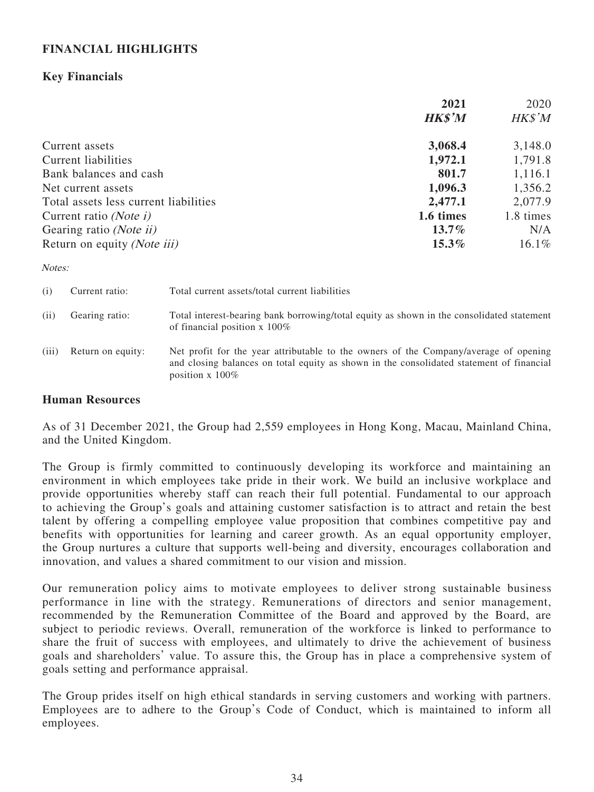## **FINANCIAL HIGHLIGHTS**

## **Key Financials**

|                                       | 2021          | 2020      |
|---------------------------------------|---------------|-----------|
|                                       | <b>HK\$'M</b> | HK\$'M    |
| Current assets                        | 3,068.4       | 3,148.0   |
| Current liabilities                   | 1,972.1       | 1,791.8   |
| Bank balances and cash                | 801.7         | 1,116.1   |
| Net current assets                    | 1,096.3       | 1,356.2   |
| Total assets less current liabilities | 2,477.1       | 2,077.9   |
| Current ratio (Note i)                | 1.6 times     | 1.8 times |
| Gearing ratio (Note ii)               | $13.7\%$      | N/A       |
| Return on equity (Note iii)           | $15.3\%$      | $16.1\%$  |

Notes:

| (i)   | Current ratio:    | Total current assets/total current liabilities                                                                                                                                                         |
|-------|-------------------|--------------------------------------------------------------------------------------------------------------------------------------------------------------------------------------------------------|
| (ii)  | Gearing ratio:    | Total interest-bearing bank borrowing/total equity as shown in the consolidated statement<br>of financial position $x$ 100%                                                                            |
| (iii) | Return on equity: | Net profit for the year attributable to the owners of the Company/average of opening<br>and closing balances on total equity as shown in the consolidated statement of financial<br>position $x 100\%$ |

### **Human Resources**

As of 31 December 2021, the Group had 2,559 employees in Hong Kong, Macau, Mainland China, and the United Kingdom.

The Group is firmly committed to continuously developing its workforce and maintaining an environment in which employees take pride in their work. We build an inclusive workplace and provide opportunities whereby staff can reach their full potential. Fundamental to our approach to achieving the Group's goals and attaining customer satisfaction is to attract and retain the best talent by offering a compelling employee value proposition that combines competitive pay and benefits with opportunities for learning and career growth. As an equal opportunity employer, the Group nurtures a culture that supports well-being and diversity, encourages collaboration and innovation, and values a shared commitment to our vision and mission.

Our remuneration policy aims to motivate employees to deliver strong sustainable business performance in line with the strategy. Remunerations of directors and senior management, recommended by the Remuneration Committee of the Board and approved by the Board, are subject to periodic reviews. Overall, remuneration of the workforce is linked to performance to share the fruit of success with employees, and ultimately to drive the achievement of business goals and shareholders' value. To assure this, the Group has in place a comprehensive system of goals setting and performance appraisal.

The Group prides itself on high ethical standards in serving customers and working with partners. Employees are to adhere to the Group's Code of Conduct, which is maintained to inform all employees.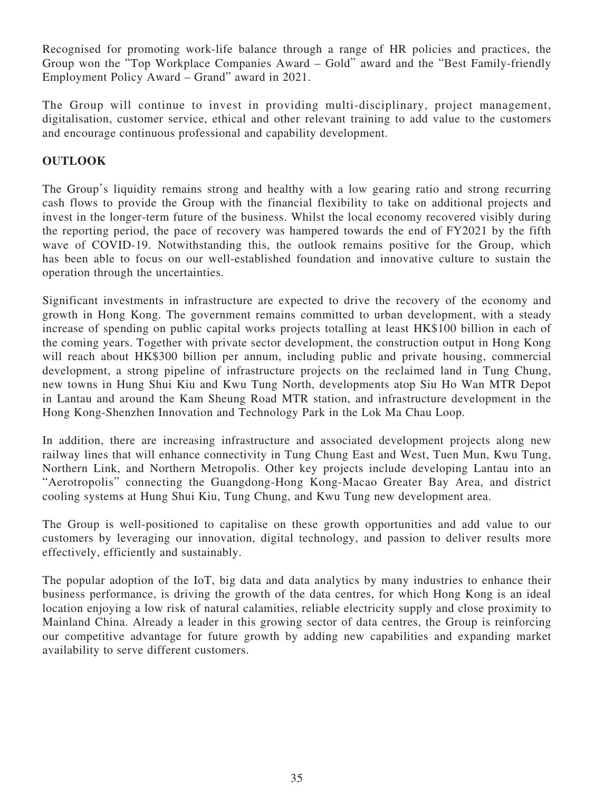Recognised for promoting work-life balance through a range of HR policies and practices, the Group won the "Top Workplace Companies Award – Gold" award and the "Best Family-friendly Employment Policy Award – Grand" award in 2021.

The Group will continue to invest in providing multi-disciplinary, project management, digitalisation, customer service, ethical and other relevant training to add value to the customers and encourage continuous professional and capability development.

## **OUTLOOK**

The Group's liquidity remains strong and healthy with a low gearing ratio and strong recurring cash flows to provide the Group with the financial flexibility to take on additional projects and invest in the longer-term future of the business. Whilst the local economy recovered visibly during the reporting period, the pace of recovery was hampered towards the end of FY2021 by the fifth wave of COVID-19. Notwithstanding this, the outlook remains positive for the Group, which has been able to focus on our well-established foundation and innovative culture to sustain the operation through the uncertainties.

Significant investments in infrastructure are expected to drive the recovery of the economy and growth in Hong Kong. The government remains committed to urban development, with a steady increase of spending on public capital works projects totalling at least HK\$100 billion in each of the coming years. Together with private sector development, the construction output in Hong Kong will reach about HK\$300 billion per annum, including public and private housing, commercial development, a strong pipeline of infrastructure projects on the reclaimed land in Tung Chung, new towns in Hung Shui Kiu and Kwu Tung North, developments atop Siu Ho Wan MTR Depot in Lantau and around the Kam Sheung Road MTR station, and infrastructure development in the Hong Kong-Shenzhen Innovation and Technology Park in the Lok Ma Chau Loop.

In addition, there are increasing infrastructure and associated development projects along new railway lines that will enhance connectivity in Tung Chung East and West, Tuen Mun, Kwu Tung, Northern Link, and Northern Metropolis. Other key projects include developing Lantau into an "Aerotropolis" connecting the Guangdong-Hong Kong-Macao Greater Bay Area, and district cooling systems at Hung Shui Kiu, Tung Chung, and Kwu Tung new development area.

The Group is well-positioned to capitalise on these growth opportunities and add value to our customers by leveraging our innovation, digital technology, and passion to deliver results more effectively, efficiently and sustainably.

The popular adoption of the IoT, big data and data analytics by many industries to enhance their business performance, is driving the growth of the data centres, for which Hong Kong is an ideal location enjoying a low risk of natural calamities, reliable electricity supply and close proximity to Mainland China. Already a leader in this growing sector of data centres, the Group is reinforcing our competitive advantage for future growth by adding new capabilities and expanding market availability to serve different customers.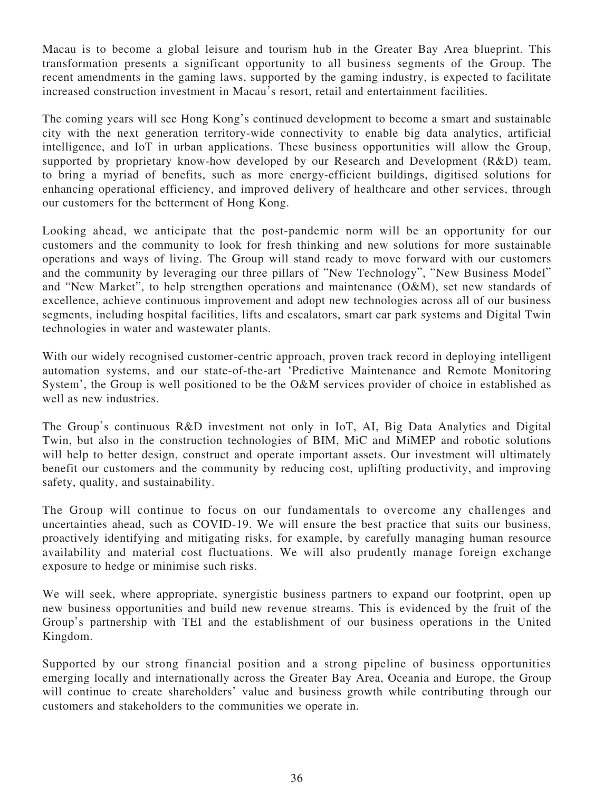Macau is to become a global leisure and tourism hub in the Greater Bay Area blueprint. This transformation presents a significant opportunity to all business segments of the Group. The recent amendments in the gaming laws, supported by the gaming industry, is expected to facilitate increased construction investment in Macau's resort, retail and entertainment facilities.

The coming years will see Hong Kong's continued development to become a smart and sustainable city with the next generation territory-wide connectivity to enable big data analytics, artificial intelligence, and IoT in urban applications. These business opportunities will allow the Group, supported by proprietary know-how developed by our Research and Development (R&D) team, to bring a myriad of benefits, such as more energy-efficient buildings, digitised solutions for enhancing operational efficiency, and improved delivery of healthcare and other services, through our customers for the betterment of Hong Kong.

Looking ahead, we anticipate that the post-pandemic norm will be an opportunity for our customers and the community to look for fresh thinking and new solutions for more sustainable operations and ways of living. The Group will stand ready to move forward with our customers and the community by leveraging our three pillars of "New Technology", "New Business Model" and "New Market", to help strengthen operations and maintenance (O&M), set new standards of excellence, achieve continuous improvement and adopt new technologies across all of our business segments, including hospital facilities, lifts and escalators, smart car park systems and Digital Twin technologies in water and wastewater plants.

With our widely recognised customer-centric approach, proven track record in deploying intelligent automation systems, and our state-of-the-art 'Predictive Maintenance and Remote Monitoring System', the Group is well positioned to be the O&M services provider of choice in established as well as new industries.

The Group's continuous R&D investment not only in IoT, AI, Big Data Analytics and Digital Twin, but also in the construction technologies of BIM, MiC and MiMEP and robotic solutions will help to better design, construct and operate important assets. Our investment will ultimately benefit our customers and the community by reducing cost, uplifting productivity, and improving safety, quality, and sustainability.

The Group will continue to focus on our fundamentals to overcome any challenges and uncertainties ahead, such as COVID-19. We will ensure the best practice that suits our business, proactively identifying and mitigating risks, for example, by carefully managing human resource availability and material cost fluctuations. We will also prudently manage foreign exchange exposure to hedge or minimise such risks.

We will seek, where appropriate, synergistic business partners to expand our footprint, open up new business opportunities and build new revenue streams. This is evidenced by the fruit of the Group's partnership with TEI and the establishment of our business operations in the United Kingdom.

Supported by our strong financial position and a strong pipeline of business opportunities emerging locally and internationally across the Greater Bay Area, Oceania and Europe, the Group will continue to create shareholders' value and business growth while contributing through our customers and stakeholders to the communities we operate in.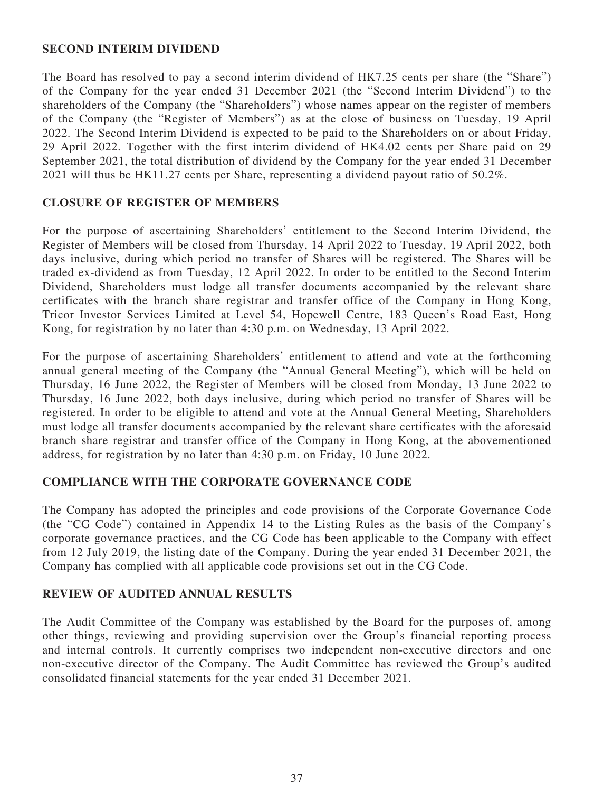### **SECOND INTERIM DIVIDEND**

The Board has resolved to pay a second interim dividend of HK7.25 cents per share (the "Share") of the Company for the year ended 31 December 2021 (the "Second Interim Dividend") to the shareholders of the Company (the "Shareholders") whose names appear on the register of members of the Company (the "Register of Members") as at the close of business on Tuesday, 19 April 2022. The Second Interim Dividend is expected to be paid to the Shareholders on or about Friday, 29 April 2022. Together with the first interim dividend of HK4.02 cents per Share paid on 29 September 2021, the total distribution of dividend by the Company for the year ended 31 December 2021 will thus be HK11.27 cents per Share, representing a dividend payout ratio of 50.2%.

### **CLOSURE OF REGISTER OF MEMBERS**

For the purpose of ascertaining Shareholders' entitlement to the Second Interim Dividend, the Register of Members will be closed from Thursday, 14 April 2022 to Tuesday, 19 April 2022, both days inclusive, during which period no transfer of Shares will be registered. The Shares will be traded ex-dividend as from Tuesday, 12 April 2022. In order to be entitled to the Second Interim Dividend, Shareholders must lodge all transfer documents accompanied by the relevant share certificates with the branch share registrar and transfer office of the Company in Hong Kong, Tricor Investor Services Limited at Level 54, Hopewell Centre, 183 Queen's Road East, Hong Kong, for registration by no later than 4:30 p.m. on Wednesday, 13 April 2022.

For the purpose of ascertaining Shareholders' entitlement to attend and vote at the forthcoming annual general meeting of the Company (the "Annual General Meeting"), which will be held on Thursday, 16 June 2022, the Register of Members will be closed from Monday, 13 June 2022 to Thursday, 16 June 2022, both days inclusive, during which period no transfer of Shares will be registered. In order to be eligible to attend and vote at the Annual General Meeting, Shareholders must lodge all transfer documents accompanied by the relevant share certificates with the aforesaid branch share registrar and transfer office of the Company in Hong Kong, at the abovementioned address, for registration by no later than 4:30 p.m. on Friday, 10 June 2022.

## **COMPLIANCE WITH THE CORPORATE GOVERNANCE CODE**

The Company has adopted the principles and code provisions of the Corporate Governance Code (the "CG Code") contained in Appendix 14 to the Listing Rules as the basis of the Company's corporate governance practices, and the CG Code has been applicable to the Company with effect from 12 July 2019, the listing date of the Company. During the year ended 31 December 2021, the Company has complied with all applicable code provisions set out in the CG Code.

## **REVIEW OF AUDITED ANNUAL RESULTS**

The Audit Committee of the Company was established by the Board for the purposes of, among other things, reviewing and providing supervision over the Group's financial reporting process and internal controls. It currently comprises two independent non-executive directors and one non-executive director of the Company. The Audit Committee has reviewed the Group's audited consolidated financial statements for the year ended 31 December 2021.